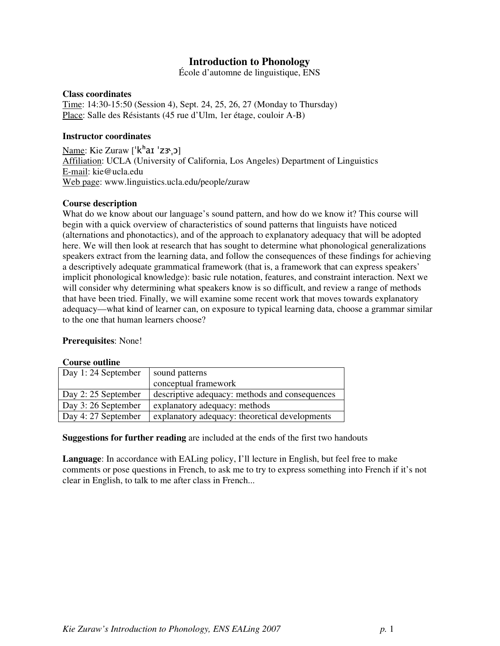# **Introduction to Phonology**

École d'automne de linguistique, ENS

#### **Class coordinates**

Time: 14:30-15:50 (Session 4), Sept. 24, 25, 26, 27 (Monday to Thursday) Place: Salle des Résistants (45 rue d'Ulm, 1er étage, couloir A-B)

#### **Instructor coordinates**

Mame: Kie Zuraw ['k<sup>h</sup>aɪ 'zɜ<sub>'</sub>ɔ] Affiliation: UCLA (University of California, Los Angeles) Department of Linguistics E-mail: kie@ucla.edu Web page: www.linguistics.ucla.edu/people/zuraw

#### **Course description**

What do we know about our language's sound pattern, and how do we know it? This course will begin with a quick overview of characteristics of sound patterns that linguists have noticed (alternations and phonotactics), and of the approach to explanatory adequacy that will be adopted here. We will then look at research that has sought to determine what phonological generalizations speakers extract from the learning data, and follow the consequences of these findings for achieving a descriptively adequate grammatical framework (that is, a framework that can express speakers' implicit phonological knowledge): basic rule notation, features, and constraint interaction. Next we will consider why determining what speakers know is so difficult, and review a range of methods that have been tried. Finally, we will examine some recent work that moves towards explanatory adequacy—what kind of learner can, on exposure to typical learning data, choose a grammar similar to the one that human learners choose?

#### **Prerequisites**: None!

#### **Course outline**

| Day 1:24 September  | sound patterns                                 |
|---------------------|------------------------------------------------|
|                     | conceptual framework                           |
| Day 2: 25 September | descriptive adequacy: methods and consequences |
| Day 3:26 September  | explanatory adequacy: methods                  |
| Day 4: 27 September | explanatory adequacy: theoretical developments |

**Suggestions for further reading** are included at the ends of the first two handouts

**Language**: In accordance with EALing policy, I'll lecture in English, but feel free to make comments or pose questions in French, to ask me to try to express something into French if it's not clear in English, to talk to me after class in French...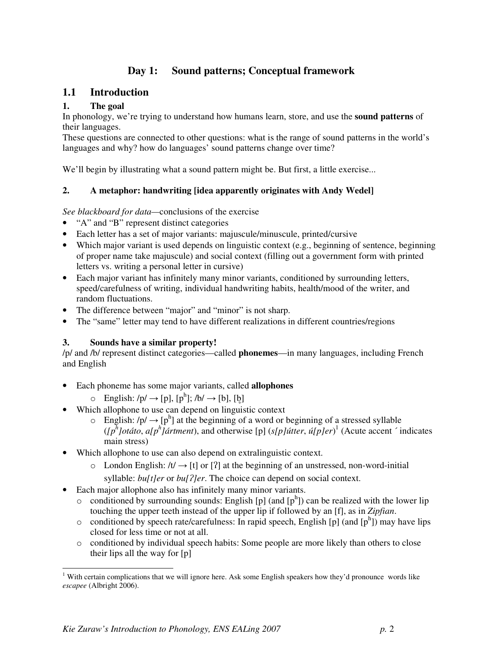# **Day 1: Sound patterns; Conceptual framework**

# **1.1 Introduction**

# **1. The goal**

In phonology, we're trying to understand how humans learn, store, and use the **sound patterns** of their languages.

These questions are connected to other questions: what is the range of sound patterns in the world's languages and why? how do languages' sound patterns change over time?

We'll begin by illustrating what a sound pattern might be. But first, a little exercise...

### **2. A metaphor: handwriting [idea apparently originates with Andy Wedel]**

*See blackboard for data—*conclusions of the exercise

- "A" and "B" represent distinct categories
- Each letter has a set of major variants: majuscule/minuscule, printed/cursive
- Which major variant is used depends on linguistic context (e.g., beginning of sentence, beginning of proper name take majuscule) and social context (filling out a government form with printed letters vs. writing a personal letter in cursive)
- Each major variant has infinitely many minor variants, conditioned by surrounding letters, speed/carefulness of writing, individual handwriting habits, health/mood of the writer, and random fluctuations.
- The difference between "major" and "minor" is not sharp.
- The "same" letter may tend to have different realizations in different countries/regions

### **3. Sounds have a similar property!**

/p/ and /b/ represent distinct categories—called **phonemes**—in many languages, including French and English

- Each phoneme has some major variants, called **allophones**
	- $\circ$  English:  $/p' \rightarrow [p]$ ,  $[p^h]$ ;  $/b' \rightarrow [b]$ ,  $[b]$
- Which allophone to use can depend on linguistic context
	- $\circ$  English: /p/  $\rightarrow$  [p<sup>h</sup>] at the beginning of a word or beginning of a stressed syllable  $([p<sup>h</sup>]otáto, a[p<sup>h</sup>]ártment)$ , and otherwise [p]  $(s[p]útter, ú[p]er)<sup>1</sup>$  (Acute accent  $\hat{}$  indicates main stress)
- Which allophone to use can also depend on extralinguistic context.
	- $\circ$  London English: /t/  $\rightarrow$  [t] or [?] at the beginning of an unstressed, non-word-initial

syllable: *bu[t]er* or *bu[?]er*. The choice can depend on social context.

- Each major allophone also has infinitely many minor variants.
	- $\circ$  conditioned by surrounding sounds: English [p] (and [p<sup>h</sup>]) can be realized with the lower lip touching the upper teeth instead of the upper lip if followed by an [f], as in *Zipfian*.
	- $\circ$  conditioned by speech rate/carefulness: In rapid speech, English [p] (and [ph]) may have lips closed for less time or not at all.
	- o conditioned by individual speech habits: Some people are more likely than others to close their lips all the way for [p]

 $\overline{a}$ 

<sup>&</sup>lt;sup>1</sup> With certain complications that we will ignore here. Ask some English speakers how they'd pronounce words like *escapee* (Albright 2006).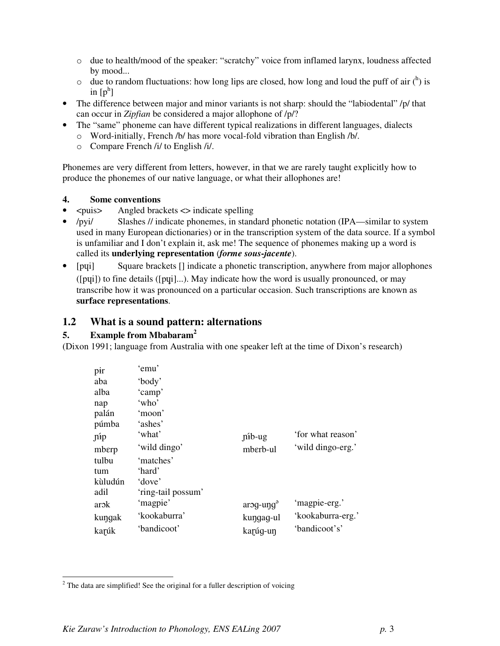- o due to health/mood of the speaker: "scratchy" voice from inflamed larynx, loudness affected by mood...
- $\circ$  due to random fluctuations: how long lips are closed, how long and loud the puff of air  $\binom{h}{k}$  is in  $[p^h]$
- The difference between major and minor variants is not sharp: should the "labiodental" /p/ that can occur in *Zipfian* be considered a major allophone of /p/?
- The "same" phoneme can have different typical realizations in different languages, dialects
	- o Word-initially, French /b/ has more vocal-fold vibration than English /b/.
	- o Compare French /i/ to English /i/.

Phonemes are very different from letters, however, in that we are rarely taught explicitly how to produce the phonemes of our native language, or what their allophones are!

### **4. Some conventions**

- $\langle \text{puis} \rangle$  Angled brackets  $\langle \text{p} \rangle$  indicate spelling
- /pyi/ Slashes // indicate phonemes, in standard phonetic notation (IPA—similar to system used in many European dictionaries) or in the transcription system of the data source. If a symbol is unfamiliar and I don't explain it, ask me! The sequence of phonemes making up a word is called its **underlying representation** (*forme sous-jacente*).
- [pui] Square brackets [] indicate a phonetic transcription, anywhere from major allophones ( $[pui]$ ) to fine details ( $[pui]$ ...). May indicate how the word is usually pronounced, or may transcribe how it was pronounced on a particular occasion. Such transcriptions are known as **surface representations**.

# **1.2 What is a sound pattern: alternations**

# **5. Example from Mbabaram<sup>2</sup>**

 $\overline{a}$ 

(Dixon 1991; language from Australia with one speaker left at the time of Dixon's research)

| pir     | 'emu'              |             |                   |
|---------|--------------------|-------------|-------------------|
| aba     | 'body'             |             |                   |
| alba    | 'camp'             |             |                   |
| nap     | 'who'              |             |                   |
| palán   | 'moon'             |             |                   |
| púmba   | 'ashes'            |             |                   |
| níp     | 'what'             | $p$ ib-ug   | 'for what reason' |
| mberp   | 'wild dingo'       | mberb-ul    | 'wild dingo-erg.' |
| tulbu   | 'matches'          |             |                   |
| tum     | 'hard'             |             |                   |
| kùludún | 'dove'             |             |                   |
| adil    | 'ring-tail possum' |             |                   |
| arok    | 'magpie'           | $arg-upg^3$ | 'magpie-erg.'     |
| kungak  | 'kookaburra'       | kungag-ul   | 'kookaburra-erg.' |
| karúk   | 'bandicoot'        | karúq-un    | 'bandicoot's'     |

 $2$  The data are simplified! See the original for a fuller description of voicing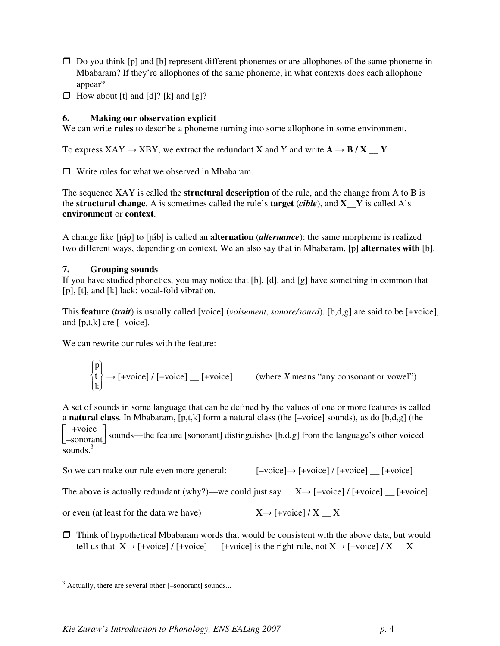- $\Box$  Do you think [p] and [b] represent different phonemes or are allophones of the same phoneme in Mbabaram? If they're allophones of the same phoneme, in what contexts does each allophone appear?
- $\Box$  How about [t] and [d]? [k] and [g]?

# **6. Making our observation explicit**

We can write **rules** to describe a phoneme turning into some allophone in some environment.

To express  $XAY \rightarrow XBY$ , we extract the redundant X and Y and write  $A \rightarrow B/X \quad Y$ 

□ Write rules for what we observed in Mbabaram.

The sequence XAY is called the **structural description** of the rule, and the change from A to B is the **structural change**. A is sometimes called the rule's **target**  $(cible)$ , and **X** Y is called A's **environment** or **context**.

A change like  $\lceil \pi p \rceil$  to  $\lceil \pi b \rceil$  is called an **alternation** (*alternance*): the same morpheme is realized two different ways, depending on context. We an also say that in Mbabaram, [p] **alternates with** [b].

### **7. Grouping sounds**

If you have studied phonetics, you may notice that [b], [d], and [g] have something in common that [p], [t], and [k] lack: vocal-fold vibration.

This **feature** (*trait*) is usually called [voice] (*voisement*, *sonore/sourd*). [b,d,g] are said to be [+voice], and [p,t,k] are [–voice].

We can rewrite our rules with the feature:

 $\overline{\mathcal{L}}$ ∤  $\int$  $\int$  $\left\{ \right\}$  $\mathbf{p}$ t k  $\rightarrow$  [+voice] / [+voice]  $\quad$  [+voice] (where *X* means "any consonant or vowel")

A set of sounds in some language that can be defined by the values of one or more features is called a **natural class**. In Mbabaram, [p,t,k] form a natural class (the [–voice] sounds), as do [b,d,g] (the

[  $+$ voice  $\left\lfloor$  sounds—the feature [sonorant] distinguishes [b,d,g] from the language's other voiced  $\left\lfloor \frac{1}{2} \right\rfloor$ sounds. $3$ 

So we can make our rule even more general:  $[-\text{voice}] \rightarrow [+ \text{voice}] / [+ \text{voice}]$   $[+ \text{voice}]$ 

The above is actually redundant (why?)—we could just say  $X \rightarrow$  [+voice] / [+voice] \_ [+voice]

or even (at least for the data we have)  $X \rightarrow$  [+voice] / X  $X$ 

 $\Box$  Think of hypothetical Mbabaram words that would be consistent with the above data, but would tell us that  $X \rightarrow$  [+voice] / [+voice] [+voice] is the right rule, not  $X \rightarrow$  [+voice] / X  $X$ 

<sup>&</sup>lt;sup>3</sup> Actually, there are several other [-sonorant] sounds...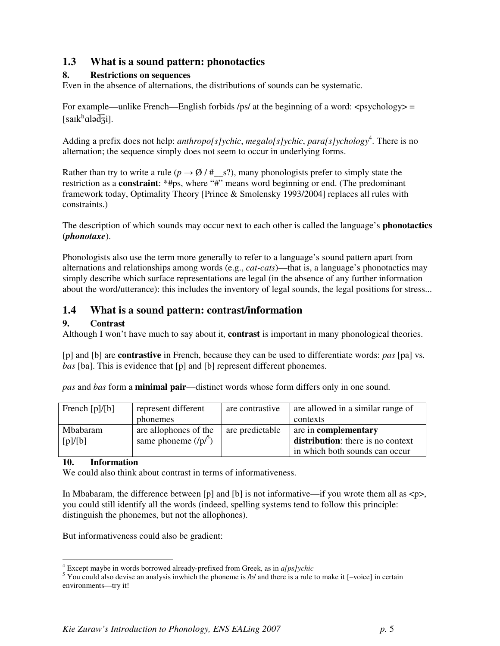# **1.3 What is a sound pattern: phonotactics**

# **8. Restrictions on sequences**

Even in the absence of alternations, the distributions of sounds can be systematic.

For example—unlike French—English forbids /ps/ at the beginning of a word:  $\langle$ psychology $\rangle$  = [san $k^h$ alə $\widehat{d}$ zi].

Adding a prefix does not help: *anthropo[s]ychic*, *megalo[s]ychic*, *para[s]ychology*<sup>4</sup>. There is no alternation; the sequence simply does not seem to occur in underlying forms.

Rather than try to write a rule ( $p \rightarrow \emptyset$  / #\_s?), many phonologists prefer to simply state the restriction as a **constraint**: \*#ps, where "#" means word beginning or end. (The predominant framework today, Optimality Theory [Prince & Smolensky 1993/2004] replaces all rules with constraints.)

The description of which sounds may occur next to each other is called the language's **phonotactics** (*phonotaxe*).

Phonologists also use the term more generally to refer to a language's sound pattern apart from alternations and relationships among words (e.g., *cat-cats*)—that is, a language's phonotactics may simply describe which surface representations are legal (in the absence of any further information about the word/utterance): this includes the inventory of legal sounds, the legal positions for stress...

# **1.4 What is a sound pattern: contrast/information**

# **9. Contrast**

Although I won't have much to say about it, **contrast** is important in many phonological theories.

[p] and [b] are **contrastive** in French, because they can be used to differentiate words: *pas* [pa] vs. *bas* [ba]. This is evidence that [p] and [b] represent different phonemes.

*pas* and *bas* form a **minimal pair**—distinct words whose form differs only in one sound.

| French $[p]/[b]$ | represent different    | are contrastive | are allowed in a similar range of |
|------------------|------------------------|-----------------|-----------------------------------|
|                  | phonemes               |                 | contexts                          |
| Mbabaram         | are allophones of the  | are predictable | are in <b>complementary</b>       |
| [p]/[b]          | same phoneme $( p ^5)$ |                 | distribution: there is no context |
|                  |                        |                 | in which both sounds can occur    |

### **10. Information**

 $\overline{a}$ 

We could also think about contrast in terms of informativeness.

In Mbabaram, the difference between [p] and [b] is not informative—if you wrote them all as  $\langle p \rangle$ , you could still identify all the words (indeed, spelling systems tend to follow this principle: distinguish the phonemes, but not the allophones).

But informativeness could also be gradient:

<sup>4</sup> Except maybe in words borrowed already-prefixed from Greek, as in *a[ps]ychic*

 $<sup>5</sup>$  You could also devise an analysis inwhich the phoneme is /b/ and there is a rule to make it [-voice] in certain</sup> environments—try it!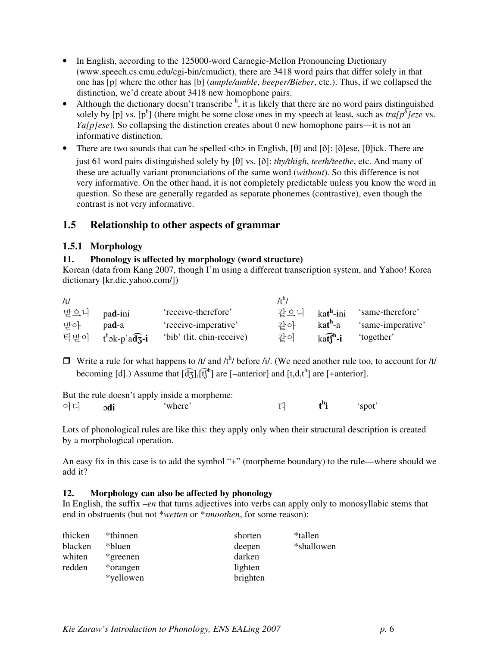- In English, according to the 125000-word Carnegie-Mellon Pronouncing Dictionary (www.speech.cs.cmu.edu/cgi-bin/cmudict), there are 3418 word pairs that differ solely in that one has [p] where the other has [b] (*ample/amble*, *beeper/Bieber*, etc.). Thus, if we collapsed the distinction, we'd create about 3418 new homophone pairs.
- Although the dictionary doesn't transcribe  $<sup>h</sup>$ , it is likely that there are no word pairs distinguished</sup> solely by [p] vs.  $[p^h]$  (there might be some close ones in my speech at least, such as  $traf p^h$ ]eze vs. *Ya[p]ese*). So collapsing the distinction creates about 0 new homophone pairs—it is not an informative distinction.
- There are two sounds that can be spelled  $\ltth$  in English, [ $\theta$ ] and [ $\delta$ ]: [ $\delta$ ]ese, [ $\theta$ ]ick. There are just 61 word pairs distinguished solely by  $[\theta]$  vs.  $[\delta]$ : *thy/thigh, teeth/teethe, etc. And many of* these are actually variant pronunciations of the same word (*without*). So this difference is not very informative. On the other hand, it is not completely predictable unless you know the word in question. So these are generally regarded as separate phonemes (contrastive), even though the contrast is not very informative.

# **1.5 Relationship to other aspects of grammar**

# **1.5.1 Morphology**

### **11. Phonology is affected by morphology (word structure)**

Korean (data from Kang 2007, though I'm using a different transcription system, and Yahoo! Korea dictionary [kr.dic.yahoo.com/])

| /t/ |                      |                           | /t <sup>n</sup> / |                                     |                   |
|-----|----------------------|---------------------------|-------------------|-------------------------------------|-------------------|
|     | 받으니 pa <b>d</b> -ini | 'receive-therefore'       |                   | 같으니 ka <b>t<sup>h</sup>-</b> ini    | 'same-therefore'  |
| 반아  | pad-a                | 'receive-imperative'      | 같아                | kat <sup>h</sup> -a                 | 'same-imperative' |
|     | 턱받이 tʰɔk-p'ad͡ʒ-i    | 'bib' (lit. chin-receive) | 같이                | $k$ at $\mathbf{f}^{\mathbf{h}}$ -i | 'together'        |

 $\Box$  Write a rule for what happens to /t/ and /t<sup>h</sup>/ before /i/. (We need another rule too, to account for /t/ becoming [d].) Assume that  $[\widehat{d_3}]$ ,  $[\widehat{t_1}^h]$  are [-anterior] and [t,d,t<sup>h</sup>] are [+anterior].

|    |     | But the rule doesn't apply inside a morpheme: |  |        |
|----|-----|-----------------------------------------------|--|--------|
| 어디 | odi | 'where'                                       |  | 'spot' |

Lots of phonological rules are like this: they apply only when their structural description is created by a morphological operation.

An easy fix in this case is to add the symbol "+" (morpheme boundary) to the rule—where should we add it?

### **12. Morphology can also be affected by phonology**

In English, the suffix *–en* that turns adjectives into verbs can apply only to monosyllabic stems that end in obstruents (but not \**wetten* or *\*smoothen*, for some reason):

| thicken | *thinnen  | shorten  | *tallen    |
|---------|-----------|----------|------------|
| blacken | *bluen*   | deepen   | *shallowen |
| whiten  | *greenen  | darken   |            |
| redden  | *orangen  | lighten  |            |
|         | *yellowen | brighten |            |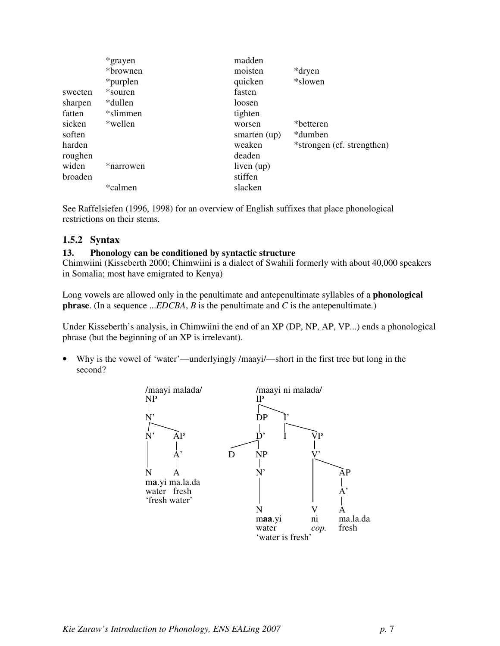|         | *grayen   | madden         |                            |
|---------|-----------|----------------|----------------------------|
|         | *brownen  | moisten        | *dryen                     |
|         | *purplen  | quicken        | *slowen                    |
| sweeten | *souren   | fasten         |                            |
| sharpen | *dullen   | loosen         |                            |
| fatten  | *slimmen  | tighten        |                            |
| sicken  | *wellen   | worsen         | *betteren                  |
| soften  |           | smarten $(up)$ | *dumben                    |
| harden  |           | weaken         | *strongen (cf. strengthen) |
| roughen |           | deaden         |                            |
| widen   | *narrowen | liven $(up)$   |                            |
| broaden |           | stiffen        |                            |
|         | *calmen   | slacken        |                            |

See Raffelsiefen (1996, 1998) for an overview of English suffixes that place phonological restrictions on their stems.

# **1.5.2 Syntax**

### **13. Phonology can be conditioned by syntactic structure**

Chimwiini (Kisseberth 2000; Chimwiini is a dialect of Swahili formerly with about 40,000 speakers in Somalia; most have emigrated to Kenya)

Long vowels are allowed only in the penultimate and antepenultimate syllables of a **phonological phrase**. (In a sequence ...*EDCBA*, *B* is the penultimate and *C* is the antepenultimate.)

Under Kisseberth's analysis, in Chimwiini the end of an XP (DP, NP, AP, VP...) ends a phonological phrase (but the beginning of an XP is irrelevant).

• Why is the vowel of 'water'—underlyingly /maayi/—short in the first tree but long in the second?

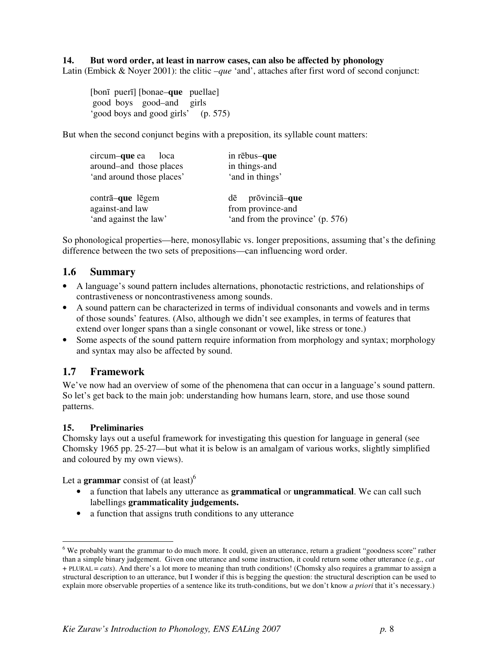#### **14. But word order, at least in narrow cases, can also be affected by phonology**

Latin (Embick & Noyer 2001): the clitic *–que* 'and', attaches after first word of second conjunct:

[bonī puerī] [bonae*–***que** puellae] good boys good*–*and girls 'good boys and good girls' (p. 575)

But when the second conjunct begins with a preposition, its syllable count matters:

| circum-que ea<br>loca<br>around-and those places<br>'and around those places' | in rēbus-que<br>in things-and<br>'and in things'                             |
|-------------------------------------------------------------------------------|------------------------------------------------------------------------------|
| contrā-que lēgem<br>against-and law<br>'and against the law'                  | prōvinciā–que<br>dē<br>from province-and<br>'and from the province' (p. 576) |

So phonological properties—here, monosyllabic vs. longer prepositions, assuming that's the defining difference between the two sets of prepositions—can influencing word order.

# **1.6 Summary**

- A language's sound pattern includes alternations, phonotactic restrictions, and relationships of contrastiveness or noncontrastiveness among sounds.
- A sound pattern can be characterized in terms of individual consonants and vowels and in terms of those sounds' features. (Also, although we didn't see examples, in terms of features that extend over longer spans than a single consonant or vowel, like stress or tone.)
- Some aspects of the sound pattern require information from morphology and syntax; morphology and syntax may also be affected by sound.

# **1.7 Framework**

We've now had an overview of some of the phenomena that can occur in a language's sound pattern. So let's get back to the main job: understanding how humans learn, store, and use those sound patterns.

### **15. Preliminaries**

 $\overline{a}$ 

Chomsky lays out a useful framework for investigating this question for language in general (see Chomsky 1965 pp. 25-27—but what it is below is an amalgam of various works, slightly simplified and coloured by my own views).

Let a **grammar** consist of (at least)<sup>6</sup>

- a function that labels any utterance as **grammatical** or **ungrammatical**. We can call such labellings **grammaticality judgements.**
- a function that assigns truth conditions to any utterance

<sup>&</sup>lt;sup>6</sup> We probably want the grammar to do much more. It could, given an utterance, return a gradient "goodness score" rather than a simple binary judgement. Given one utterance and some instruction, it could return some other utterance (e.g., *cat*  + PLURAL = *cats*). And there's a lot more to meaning than truth conditions! (Chomsky also requires a grammar to assign a structural description to an utterance, but I wonder if this is begging the question: the structural description can be used to explain more observable properties of a sentence like its truth-conditions, but we don't know *a priori* that it's necessary.)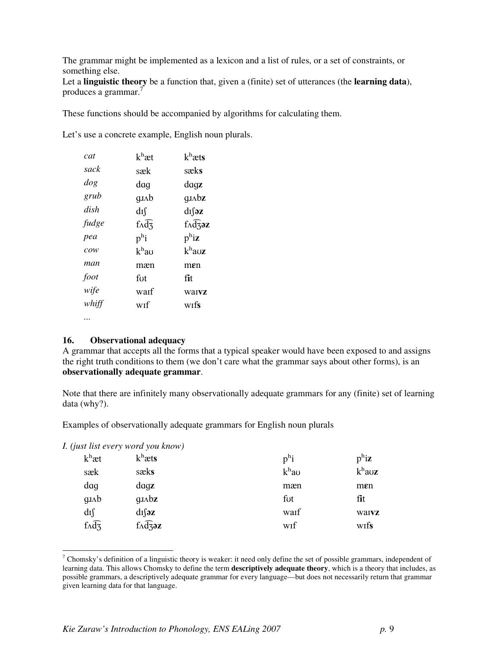The grammar might be implemented as a lexicon and a list of rules, or a set of constraints, or something else.

Let a **linguistic theory** be a function that, given a (finite) set of utterances (the **learning data**), produces a grammar.<sup>7</sup>

These functions should be accompanied by algorithms for calculating them.

Let's use a concrete example, English noun plurals.

| cat                                   | $k^h$ æt                 | $k^h$ æts                   |
|---------------------------------------|--------------------------|-----------------------------|
| sack                                  | sæk                      | sæks                        |
| $\log$                                | dag                      | dagz                        |
| grub                                  | $q_{J\Lambda}b$          | $q_{J\Lambda}b\mathbf{z}$   |
| dish                                  | dıſ                      | $dI$ $z$                    |
| fudge                                 | $f \wedge d\overline{z}$ | $f \wedge \overline{d}$ zaz |
| pea                                   | $p^{\rm h}$ i            | $p^h$ iz                    |
| $\mathcal{C} \mathcal{O} \mathcal{W}$ | $k^{\rm h}$ au           | $k^{\rm h}$ auz             |
| man                                   | mæn                      | men                         |
| foot                                  | fut                      | fit                         |
| wife                                  | warf                     | waivz                       |
| whiff                                 | wıf                      | wifs                        |
|                                       |                          |                             |

#### **16. Observational adequacy**

A grammar that accepts all the forms that a typical speaker would have been exposed to and assigns the right truth conditions to them (we don't care what the grammar says about other forms), is an **observationally adequate grammar**.

Note that there are infinitely many observationally adequate grammars for any (finite) set of learning data (why?).

Examples of observationally adequate grammars for English noun plurals

*I. (just list every word you know)* 

 $\overline{a}$ 

| $k^h$ æt                            | $k^h$ æts                    | $p^{\rm h}$ i     | $p^h$ iz         |
|-------------------------------------|------------------------------|-------------------|------------------|
| sæk                                 | sæks                         | k <sup>h</sup> au | $k^h$ auz        |
| dag                                 | $\frac{d}{dx}$               | mæn               | $m$ $\epsilon$ n |
| $g_{J\Lambda}b$                     | $g_{J\Lambda}b_{\mathbf{Z}}$ | fut               | fit              |
| dıſ                                 | $dI$ [əz                     | waif              | waivz            |
| $f \wedge \widehat{d} \overline{z}$ | $f \wedge \widehat{d}$ z     | wif               | wifs             |

 $^7$  Chomsky's definition of a linguistic theory is weaker: it need only define the set of possible grammars, independent of learning data. This allows Chomsky to define the term **descriptively adequate theory**, which is a theory that includes, as possible grammars, a descriptively adequate grammar for every language—but does not necessarily return that grammar given learning data for that language.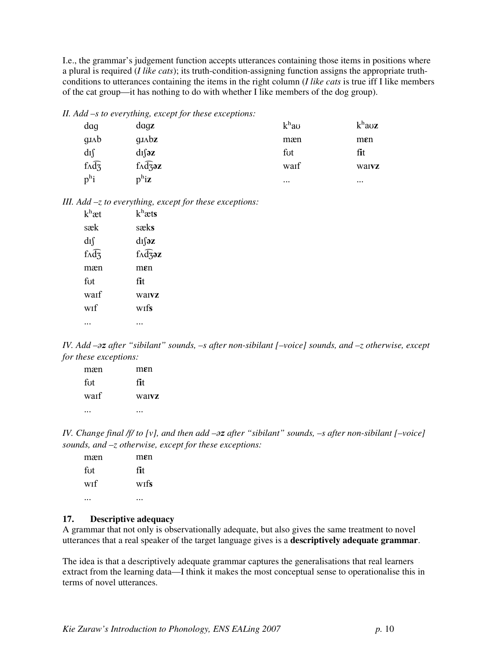I.e., the grammar's judgement function accepts utterances containing those items in positions where a plural is required (*I like cats*); its truth-condition-assigning function assigns the appropriate truthconditions to utterances containing the items in the right column (*I like cats* is true iff I like members of the cat group—it has nothing to do with whether I like members of the dog group).

*II. Add –s to everything, except for these exceptions:* 

| dag                                 | $\frac{dqz}{ }$           | $kh$ au  | $k^{\rm h}$ auz  |
|-------------------------------------|---------------------------|----------|------------------|
| $q_{J\Lambda}b$                     | $q_{J\Lambda}b\mathbf{z}$ | mæn      | $m$ $\epsilon$ n |
| dıſ                                 | $dI$ $z$                  | fut      | fit              |
| $f \wedge \widehat{d} \overline{z}$ | $f \wedge \widehat{d}$ z  | waif     | waivz            |
| $p^h$ i                             | $p^h$ iz                  | $\cdots$ | $\cdots$         |

*III. Add –z to everything, except for these exceptions:* 

| $k^h$ æt                 | $k^h$ æts                  |
|--------------------------|----------------------------|
| sæk                      | sæks                       |
| dıſ                      | $dI$ [ə $\mathbf{z}$       |
| $f \wedge \widehat{d}$ 3 | $f \wedge \widehat{d}$ zəz |
| mæn                      | men                        |
| fut                      | fit                        |
| warf                     | warvz                      |
| wif                      | wifs                       |
|                          |                            |
|                          |                            |

*IV. Add –* $\partial z$  after "sibilant" sounds, –s after non-sibilant [–voice] sounds, and –z otherwise, except *for these exceptions:* 

| mæn  | men   |
|------|-------|
| fut  | fit   |
| waif | warvz |
|      |       |

*IV. Change final /f/ to [v], and then add –* $\partial z$  *after "sibilant" sounds, –s after non-sibilant [–voice] sounds, and –z otherwise, except for these exceptions:* 

| mæn | men  |
|-----|------|
| fut | fit  |
| wif | wifs |
|     |      |

#### **17. Descriptive adequacy**

A grammar that not only is observationally adequate, but also gives the same treatment to novel utterances that a real speaker of the target language gives is a **descriptively adequate grammar**.

The idea is that a descriptively adequate grammar captures the generalisations that real learners extract from the learning data—I think it makes the most conceptual sense to operationalise this in terms of novel utterances.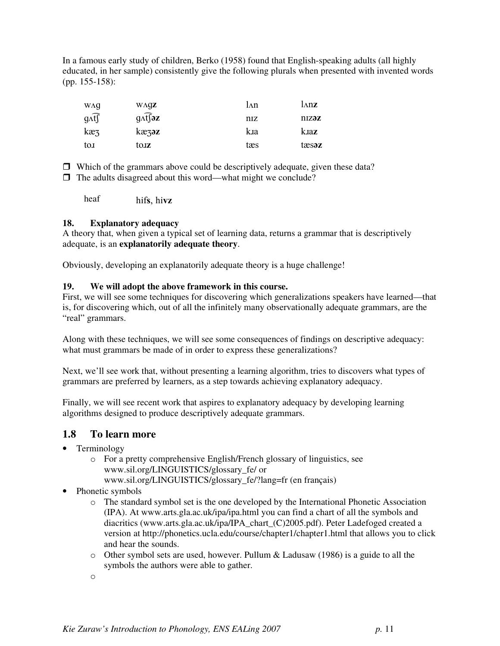In a famous early study of children, Berko (1958) found that English-speaking adults (all highly educated, in her sample) consistently give the following plurals when presented with invented words (pp. 155-158):

| WΛQ              | $W\Lambda QZ$                                | l∧n | lnnz  |
|------------------|----------------------------------------------|-----|-------|
| $g \widehat{df}$ | $g \widehat{\Lambda}$ f $\widehat{\sigma}$ z | niz | nizəz |
| $k\mathfrak{g}$  | $k$ æ $\zeta$ əz                             | kıa | kaz   |
| tox              | tojz                                         | tæs | tæsaz |

 $\Box$  Which of the grammars above could be descriptively adequate, given these data?

 $\Box$  The adults disagreed about this word—what might we conclude?

heaf hifs, hivz

### **18. Explanatory adequacy**

A theory that, when given a typical set of learning data, returns a grammar that is descriptively adequate, is an **explanatorily adequate theory**.

Obviously, developing an explanatorily adequate theory is a huge challenge!

### **19. We will adopt the above framework in this course.**

First, we will see some techniques for discovering which generalizations speakers have learned—that is, for discovering which, out of all the infinitely many observationally adequate grammars, are the "real" grammars.

Along with these techniques, we will see some consequences of findings on descriptive adequacy: what must grammars be made of in order to express these generalizations?

Next, we'll see work that, without presenting a learning algorithm, tries to discovers what types of grammars are preferred by learners, as a step towards achieving explanatory adequacy.

Finally, we will see recent work that aspires to explanatory adequacy by developing learning algorithms designed to produce descriptively adequate grammars.

# **1.8 To learn more**

- Terminology
	- o For a pretty comprehensive English/French glossary of linguistics, see www.sil.org/LINGUISTICS/glossary\_fe/ or www.sil.org/LINGUISTICS/glossary\_fe/?lang=fr (en français)
- Phonetic symbols
	- o The standard symbol set is the one developed by the International Phonetic Association (IPA). At www.arts.gla.ac.uk/ipa/ipa.html you can find a chart of all the symbols and diacritics (www.arts.gla.ac.uk/ipa/IPA\_chart\_(C)2005.pdf). Peter Ladefoged created a version at http://phonetics.ucla.edu/course/chapter1/chapter1.html that allows you to click and hear the sounds.
	- o Other symbol sets are used, however. Pullum & Ladusaw (1986) is a guide to all the symbols the authors were able to gather.
	- o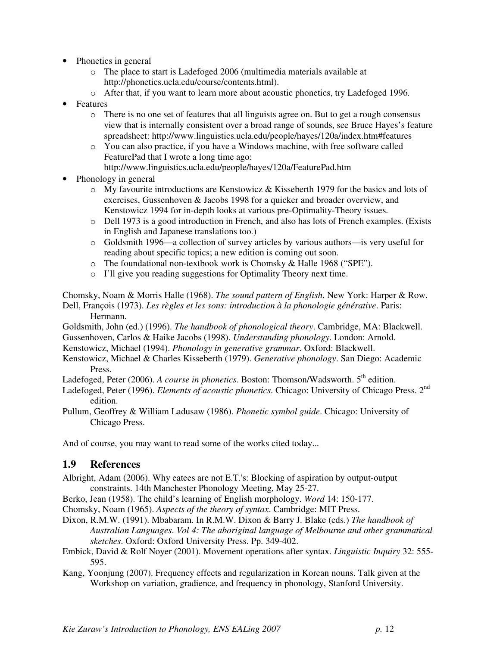- Phonetics in general
	- o The place to start is Ladefoged 2006 (multimedia materials available at http://phonetics.ucla.edu/course/contents.html).
	- o After that, if you want to learn more about acoustic phonetics, try Ladefoged 1996.
- Features
	- o There is no one set of features that all linguists agree on. But to get a rough consensus view that is internally consistent over a broad range of sounds, see Bruce Hayes's feature spreadsheet: http://www.linguistics.ucla.edu/people/hayes/120a/index.htm#features
	- o You can also practice, if you have a Windows machine, with free software called FeaturePad that I wrote a long time ago:
		- http://www.linguistics.ucla.edu/people/hayes/120a/FeaturePad.htm
- Phonology in general
	- $\circ$  My favourite introductions are Kenstowicz & Kisseberth 1979 for the basics and lots of exercises, Gussenhoven & Jacobs 1998 for a quicker and broader overview, and Kenstowicz 1994 for in-depth looks at various pre-Optimality-Theory issues.
	- o Dell 1973 is a good introduction in French, and also has lots of French examples. (Exists in English and Japanese translations too.)
	- o Goldsmith 1996—a collection of survey articles by various authors—is very useful for reading about specific topics; a new edition is coming out soon.
	- o The foundational non-textbook work is Chomsky & Halle 1968 ("SPE").
	- o I'll give you reading suggestions for Optimality Theory next time.

Chomsky, Noam & Morris Halle (1968). *The sound pattern of English*. New York: Harper & Row. Dell, François (1973). *Les règles et les sons: introduction à la phonologie générative*. Paris: Hermann.

Goldsmith, John (ed.) (1996). *The handbook of phonological theory*. Cambridge, MA: Blackwell.

Gussenhoven, Carlos & Haike Jacobs (1998). *Understanding phonology*. London: Arnold.

Kenstowicz, Michael (1994). *Phonology in generative grammar*. Oxford: Blackwell.

Kenstowicz, Michael & Charles Kisseberth (1979). *Generative phonology*. San Diego: Academic Press.

Ladefoged, Peter (2006). *A course in phonetics*. Boston: Thomson/Wadsworth. 5<sup>th</sup> edition.

Ladefoged, Peter (1996). *Elements of acoustic phonetics*. Chicago: University of Chicago Press. 2nd edition.

Pullum, Geoffrey & William Ladusaw (1986). *Phonetic symbol guide*. Chicago: University of Chicago Press.

And of course, you may want to read some of the works cited today...

# **1.9 References**

- Albright, Adam (2006). Why eatees are not E.T.'s: Blocking of aspiration by output-output constraints. 14th Manchester Phonology Meeting, May 25-27.
- Berko, Jean (1958). The child's learning of English morphology. *Word* 14: 150-177.

Chomsky, Noam (1965). *Aspects of the theory of syntax*. Cambridge: MIT Press.

- Dixon, R.M.W. (1991). Mbabaram. In R.M.W. Dixon & Barry J. Blake (eds.) *The handbook of Australian Languages*. *Vol 4: The aboriginal language of Melbourne and other grammatical sketches*. Oxford: Oxford University Press. Pp. 349-402.
- Embick, David & Rolf Noyer (2001). Movement operations after syntax. *Linguistic Inquiry* 32: 555- 595.
- Kang, Yoonjung (2007). Frequency effects and regularization in Korean nouns. Talk given at the Workshop on variation, gradience, and frequency in phonology, Stanford University.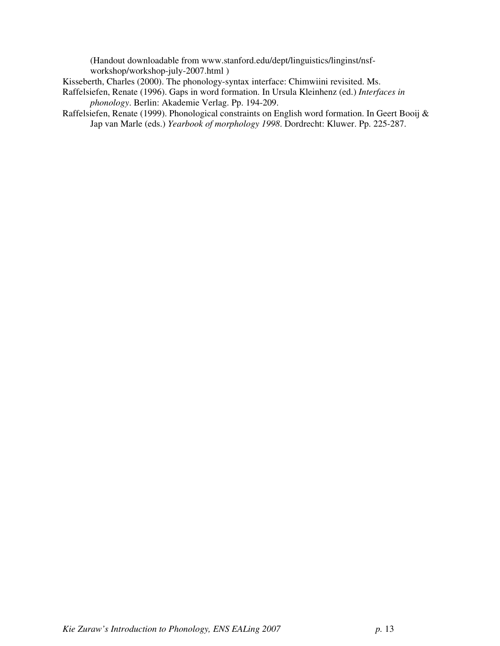(Handout downloadable from www.stanford.edu/dept/linguistics/linginst/nsfworkshop/workshop-july-2007.html )

Kisseberth, Charles (2000). The phonology-syntax interface: Chimwiini revisited. Ms.

- Raffelsiefen, Renate (1996). Gaps in word formation. In Ursula Kleinhenz (ed.) *Interfaces in phonology*. Berlin: Akademie Verlag. Pp. 194-209.
- Raffelsiefen, Renate (1999). Phonological constraints on English word formation. In Geert Booij & Jap van Marle (eds.) *Yearbook of morphology 1998*. Dordrecht: Kluwer. Pp. 225-287.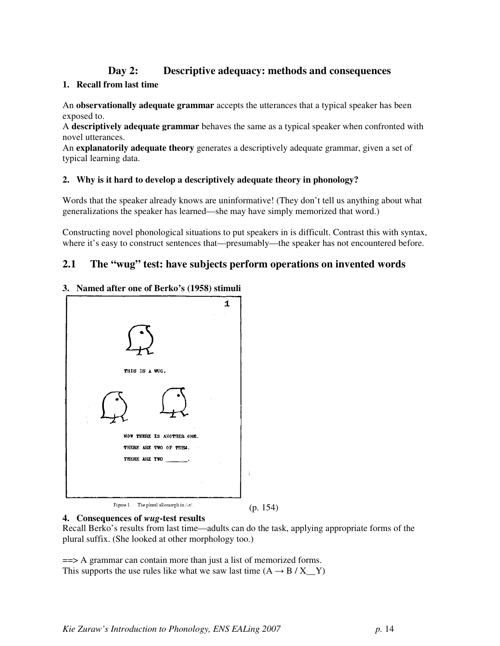# **Day 2: Descriptive adequacy: methods and consequences**

#### **1. Recall from last time**

An **observationally adequate grammar** accepts the utterances that a typical speaker has been exposed to.

A **descriptively adequate grammar** behaves the same as a typical speaker when confronted with novel utterances.

An **explanatorily adequate theory** generates a descriptively adequate grammar, given a set of typical learning data.

### **2. Why is it hard to develop a descriptively adequate theory in phonology?**

Words that the speaker already knows are uninformative! (They don't tell us anything about what generalizations the speaker has learned—she may have simply memorized that word.)

Constructing novel phonological situations to put speakers in is difficult. Contrast this with syntax, where it's easy to construct sentences that—presumably—the speaker has not encountered before.

# **2.1 The "wug" test: have subjects perform operations on invented words**

#### **3. Named after one of Berko's (1958) stimuli**

|                                                | 1 |            |
|------------------------------------------------|---|------------|
|                                                |   |            |
| THIS IS A WUG.                                 |   |            |
|                                                |   |            |
| NOW THERE IS ANOTHER ONE.                      |   |            |
| THERE ARE TWO OF THEM.<br>THERE ARE TWO .      |   |            |
|                                                |   |            |
| Figure 1 The plural allomorph in $\frac{1}{2}$ |   | $\epsilon$ |

(p. 154)

#### **4. Consequences of** *wug***-test results**

Recall Berko's results from last time—adults can do the task, applying appropriate forms of the plural suffix. (She looked at other morphology too.)

==> A grammar can contain more than just a list of memorized forms. This supports the use rules like what we saw last time  $(A \rightarrow B / X \quad Y)$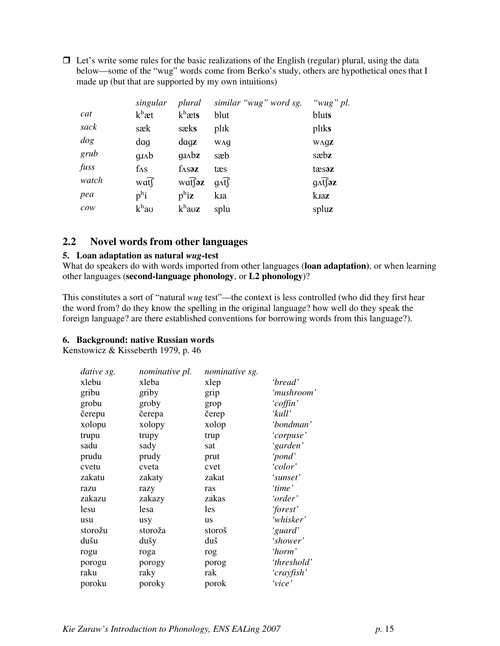$\Box$  Let's write some rules for the basic realizations of the English (regular) plural, using the data below—some of the "wug" words come from Berko's study, others are hypothetical ones that I made up (but that are supported by my own intuitions)

|                                       | singular          | plural                       | similar "wug" word sg. | " $wug$ " pl.              |
|---------------------------------------|-------------------|------------------------------|------------------------|----------------------------|
| cat                                   | $k^h$ æt          | $k^h$ æts                    | blut                   | bluts                      |
| sack                                  | sæk               | sæks                         | plik                   | pliks                      |
| dog                                   | daq               | $\frac{dqz}{ }$              | WΛg                    | WAGZ                       |
| grub                                  | $q_{J\Lambda}$    | $q_{J\Lambda}b_{\mathbf{Z}}$ | sæb                    | sæbz                       |
| fuss                                  | $f_{\Lambda S}$   | $f_\text{AS}$ az             | tæs                    | tæsaz                      |
| watch                                 | wat               | watfaz                       | $g \widehat{t}$        | $g \widehat{\Lambda}$ fjəz |
| pea                                   | $p^{\rm h}$ i     | $p^h$ iz                     | kia                    | kaz                        |
| $\mathcal{C} \mathcal{O} \mathcal{W}$ | k <sup>h</sup> au | $k^{\rm h}$ auz              | splu                   | spluz                      |

# **2.2 Novel words from other languages**

### **5. Loan adaptation as natural** *wug***-test**

What do speakers do with words imported from other languages (**loan adaptation)**, or when learning other languages (**second-language phonology**, or **L2 phonology**)?

This constitutes a sort of "natural *wug* test"—the context is less controlled (who did they first hear the word from? do they know the spelling in the original language? how well do they speak the foreign language? are there established conventions for borrowing words from this language?).

### **6. Background: native Russian words**

Kenstowicz & Kisseberth 1979, p. 46

| dative sg. | nominative pl. | nominative sg. |             |
|------------|----------------|----------------|-------------|
| xlebu      | xleba          | xlep           | 'bread'     |
| gribu      | griby          | grip           | 'mushroom'  |
| grobu      | groby          | grop           | 'coffin'    |
| čerepu     | čerepa         | čerep          | 'kull'      |
| xolopu     | xolopy         | xolop          | 'bondman'   |
| trupu      | trupy          | trup           | 'corpuse'   |
| sadu       | sady           | sat            | 'garden'    |
| prudu      | prudy          | prut           | 'pond'      |
| cvetu      | cveta          | cvet           | 'color'     |
| zakatu     | zakaty         | zakat          | 'sunset'    |
| razu       | razy           | ras            | 'time'      |
| zakazu     | zakazy         | zakas          | 'order'     |
| lesu       | lesa           | les            | 'forest'    |
| usu        | usy            | <b>us</b>      | 'whisker'   |
| storožu    | storoža        | storoš         | 'guard'     |
| dušu       | dušy           | duš            | 'shower'    |
| rogu       | roga           | rog            | 'horm'      |
| porogu     | porogy         | porog          | 'threshold' |
| raku       | raky           | rak            | 'crayfish'  |
| poroku     | poroky         | porok          | 'vice'      |
|            |                |                |             |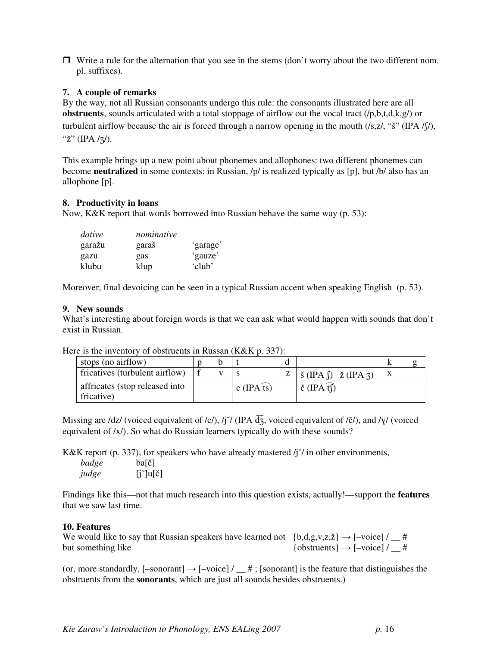$\Box$  Write a rule for the alternation that you see in the stems (don't worry about the two different nom. pl. suffixes).

### **7. A couple of remarks**

By the way, not all Russian consonants undergo this rule: the consonants illustrated here are all **obstruents**, sounds articulated with a total stoppage of airflow out the vocal tract (/p,b,t,d,k,g/) or turbulent airflow because the air is forced through a narrow opening in the mouth  $(\sqrt{s}z, \sqrt{s}z')$  (IPA  $/(\sqrt{s})$ ), "ž" (IPA / $\frac{7}{2}$ ).

This example brings up a new point about phonemes and allophones: two different phonemes can become **neutralized** in some contexts: in Russian, /p/ is realized typically as [p], but /b/ also has an allophone [p].

#### **8. Productivity in loans**

Now, K&K report that words borrowed into Russian behave the same way (p. 53):

| dative | nominative |          |
|--------|------------|----------|
| garažu | garaš      | 'garage' |
| gazu   | gas        | 'gauze'  |
| klubu  | klup       | 'club'   |

Moreover, final devoicing can be seen in a typical Russian accent when speaking English (p. 53).

#### **9. New sounds**

What's interesting about foreign words is that we can ask what would happen with sounds that don't exist in Russian.

| stops (no airflow)                           |  |  |                         |  |                                                                                                |  |
|----------------------------------------------|--|--|-------------------------|--|------------------------------------------------------------------------------------------------|--|
| fricatives (turbulent airflow)               |  |  |                         |  | $Z \mid \check{\mathbf{s}}$ (IPA $\hat{\mathbf{p}}$ ) $\check{\mathbf{z}}$ (IPA $\mathbf{s}$ ) |  |
| affricates (stop released into<br>fricative) |  |  | c (IPA $\widehat{ts}$ ) |  | $\check{\mathrm{c}}$ (IPA $\widehat{\mathrm{t}}$ )                                             |  |

Here is the inventory of obstruents in Russan (K&K p. 337):

Missing are /dz/ (voiced equivalent of /c/), /j<sup> $\prime$ </sup> (IPA  $\widehat{d_3}$ , voiced equivalent of /č/), and / $\gamma$ / (voiced equivalent of /x/). So what do Russian learners typically do with these sounds?

K&K report (p. 337), for speakers who have already mastered  $/$ j<sup> $\prime$ </sup> in other environments,

| badge | ba[č]                                   |
|-------|-----------------------------------------|
| judge | $[j^{\prime}]$ u $[\check{\mathrm{c}}]$ |

Findings like this—not that much research into this question exists, actually!—support the **features** that we saw last time.

#### **10. Features**

We would like to say that Russian speakers have learned not  ${b,d,g,v,z,\check{z}} \rightarrow [-\text{voice}] / \underline{\text{#}}$ but something like  $\{obstruents\} \rightarrow [-\text{voice}]/\_ \#$ 

(or, more standardly,  $[-\text{sonorant}] \rightarrow [-\text{voice}] / \_ \#$ ; [sonorant] is the feature that distinguishes the obstruents from the **sonorants**, which are just all sounds besides obstruents.)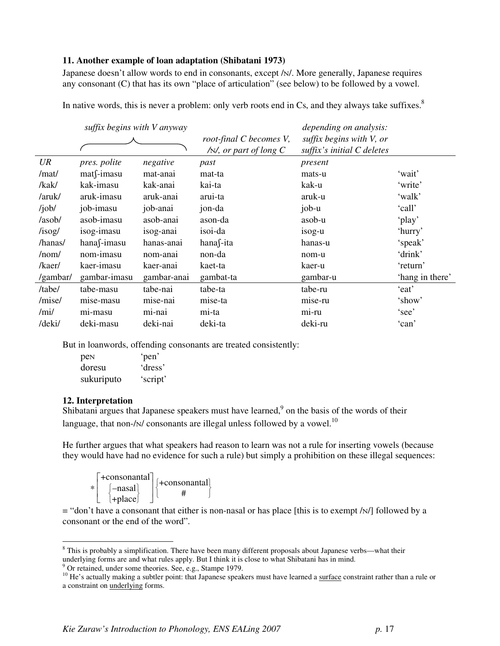#### **11. Another example of loan adaptation (Shibatani 1973)**

Japanese doesn't allow words to end in consonants, except / $N$ . More generally, Japanese requires any consonant (C) that has its own "place of articulation" (see below) to be followed by a vowel.

In native words, this is never a problem: only verb roots end in Cs, and they always take suffixes. $8\%$ 

|              | suffix begins with V anyway |             |                          | depending on analysis:       |                 |
|--------------|-----------------------------|-------------|--------------------------|------------------------------|-----------------|
|              |                             |             | root-final C becomes V,  | suffix begins with $V$ , or  |                 |
|              |                             |             | $/N$ , or part of long C | suffix's initial $C$ deletes |                 |
| UR           | pres. polite                | negative    | past                     | present                      |                 |
| /mat/        | $mat$ f-imasu               | mat-anai    | mat-ta                   | mats-u                       | 'wait'          |
| /kak/        | kak-imasu                   | kak-anai    | kai-ta                   | kak-u                        | 'write'         |
| /aruk/       | aruk-imasu                  | aruk-anai   | arui-ta                  | aruk-u                       | 'walk'          |
| /job/        | job-imasu                   | job-anai    | jon-da                   | job-u                        | 'call'          |
| /asob/       | asob-imasu                  | asob-anai   | ason-da                  | asob-u                       | 'play'          |
| $/$ isog $/$ | isog-imasu                  | isog-anai   | isoi-da                  | isog-u                       | 'hurry'         |
| /hanas/      | hanasimasu                  | hanas-anai  | hanas-ita                | hanas-u                      | 'speak'         |
| /nom/        | nom-imasu                   | nom-anai    | non-da                   | nom-u                        | 'drink'         |
| /kaer/       | kaer-imasu                  | kaer-anai   | kaet-ta                  | kaer-u                       | 'return'        |
| /gambar/     | gambar-imasu                | gambar-anai | gambat-ta                | gambar-u                     | 'hang in there' |
| /tabe/       | tabe-masu                   | tabe-nai    | tabe-ta                  | tabe-ru                      | 'eat'           |
| /mise/       | mise-masu                   | mise-nai    | mise-ta                  | mise-ru                      | 'show'          |
| /min/        | mi-masu                     | mi-nai      | mi-ta                    | mi-ru                        | 'see'           |
| /deki/       | deki-masu                   | deki-nai    | deki-ta                  | deki-ru                      | 'can'           |
|              |                             |             |                          |                              |                 |

But in loanwords, offending consonants are treated consistently:

| pen        | 'pen'    |
|------------|----------|
| doresu     | 'dress'  |
| sukuriputo | 'script' |

#### **12. Interpretation**

 $\overline{a}$ 

Shibatani argues that Japanese speakers must have learned, $9$  on the basis of the words of their language, that non-/ $\scriptstyle\rm N$ / consonants are illegal unless followed by a vowel. $^{10}$ 

He further argues that what speakers had reason to learn was not a rule for inserting vowels (because they would have had no evidence for such a rule) but simply a prohibition on these illegal sequences:

| +consonantal  <br>[–nasal] | $ +$ consonantal |
|----------------------------|------------------|
| $ +$ place                 |                  |

 $=$  "don't have a consonant that either is non-nasal or has place [this is to exempt /N/] followed by a consonant or the end of the word".

<sup>&</sup>lt;sup>8</sup> This is probably a simplification. There have been many different proposals about Japanese verbs—what their underlying forms are and what rules apply. But I think it is close to what Shibatani has in mind.<br><sup>9</sup> Or retained, under some theories. See, e.g., Stampe 1979.

<sup>&</sup>lt;sup>10</sup> He's actually making a subtler point: that Japanese speakers must have learned a surface constraint rather than a rule or a constraint on underlying forms.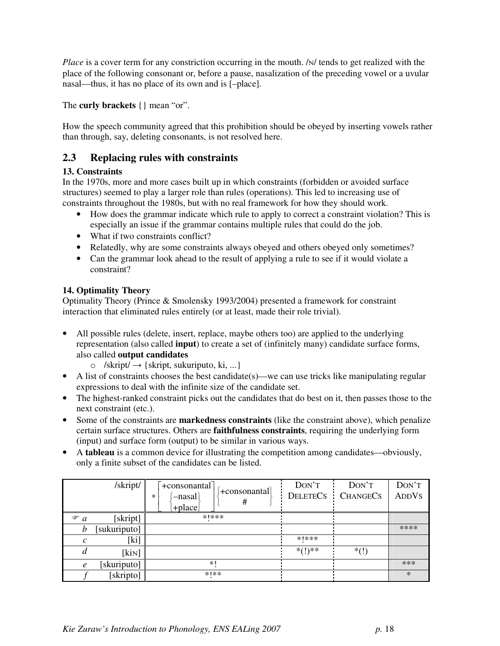*Place* is a cover term for any constriction occurring in the mouth. / $N$  tends to get realized with the place of the following consonant or, before a pause, nasalization of the preceding vowel or a uvular nasal—thus, it has no place of its own and is [–place].

The **curly brackets** {} mean "or".

How the speech community agreed that this prohibition should be obeyed by inserting vowels rather than through, say, deleting consonants, is not resolved here.

# **2.3 Replacing rules with constraints**

# **13. Constraints**

In the 1970s, more and more cases built up in which constraints (forbidden or avoided surface structures) seemed to play a larger role than rules (operations). This led to increasing use of constraints throughout the 1980s, but with no real framework for how they should work.

- How does the grammar indicate which rule to apply to correct a constraint violation? This is especially an issue if the grammar contains multiple rules that could do the job.
- What if two constraints conflict?
- Relatedly, why are some constraints always obeyed and others obeyed only sometimes?
- Can the grammar look ahead to the result of applying a rule to see if it would violate a constraint?

# **14. Optimality Theory**

Optimality Theory (Prince & Smolensky 1993/2004) presented a framework for constraint interaction that eliminated rules entirely (or at least, made their role trivial).

- All possible rules (delete, insert, replace, maybe others too) are applied to the underlying representation (also called **input**) to create a set of (infinitely many) candidate surface forms, also called **output candidates**
	- $\circ$  /skript/  $\rightarrow$  {skript, sukuriputo, ki, ...}
- A list of constraints chooses the best candidate(s)—we can use tricks like manipulating regular expressions to deal with the infinite size of the candidate set.
- The highest-ranked constraint picks out the candidates that do best on it, then passes those to the next constraint (etc.).
- Some of the constraints are **markedness constraints** (like the constraint above), which penalize certain surface structures. Others are **faithfulness constraints**, requiring the underlying form (input) and surface form (output) to be similar in various ways.
- A **tableau** is a common device for illustrating the competition among candidates—obviously, only a finite subset of the candidates can be listed.

|                  | /skript/     | $\pm$ consonantal<br>  + consonantal<br>$-$ nasal<br>*<br>#<br>$+$ place | DON'T<br><b>DELETECS</b> | DON'T<br><b>CHANGECS</b> | DON'T<br><b>ADDVS</b> |
|------------------|--------------|--------------------------------------------------------------------------|--------------------------|--------------------------|-----------------------|
| $\mathcal{F}$ a  | [skript]     | ****                                                                     |                          |                          |                       |
| b                | [sukuriputo] |                                                                          |                          |                          | ****                  |
| C                | [ki]         |                                                                          | ****                     |                          |                       |
|                  | [kin]        |                                                                          | $*(1)**$                 | $*(!)$                   |                       |
| $\boldsymbol{e}$ | [skuriputo]  | $*1$                                                                     |                          |                          | ***                   |
|                  | [skripto]    | ***                                                                      |                          |                          | $\ast$                |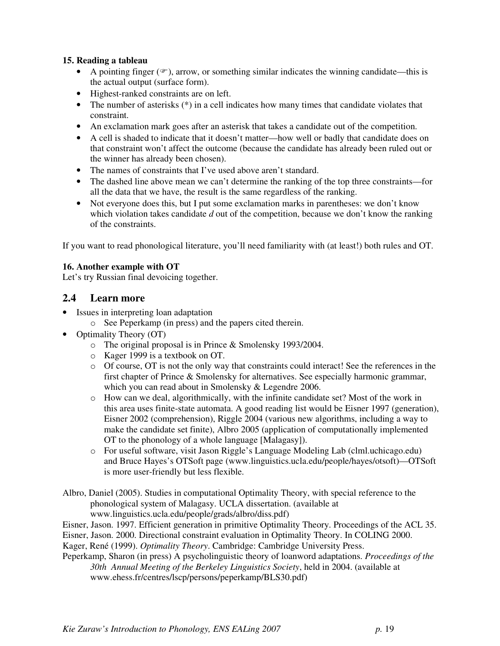### **15. Reading a tableau**

- A pointing finger  $(\mathcal{F})$ , arrow, or something similar indicates the winning candidate—this is the actual output (surface form).
- Highest-ranked constraints are on left.
- The number of asterisks  $(*)$  in a cell indicates how many times that candidate violates that constraint.
- An exclamation mark goes after an asterisk that takes a candidate out of the competition.
- A cell is shaded to indicate that it doesn't matter—how well or badly that candidate does on that constraint won't affect the outcome (because the candidate has already been ruled out or the winner has already been chosen).
- The names of constraints that I've used above aren't standard.
- The dashed line above mean we can't determine the ranking of the top three constraints—for all the data that we have, the result is the same regardless of the ranking.
- Not everyone does this, but I put some exclamation marks in parentheses: we don't know which violation takes candidate *d* out of the competition, because we don't know the ranking of the constraints.

If you want to read phonological literature, you'll need familiarity with (at least!) both rules and OT.

# **16. Another example with OT**

Let's try Russian final devoicing together.

# **2.4 Learn more**

- Issues in interpreting loan adaptation
	- o See Peperkamp (in press) and the papers cited therein.
- Optimality Theory (OT)
	- o The original proposal is in Prince & Smolensky 1993/2004.
	- o Kager 1999 is a textbook on OT.
	- $\circ$  Of course, OT is not the only way that constraints could interact! See the references in the first chapter of Prince & Smolensky for alternatives. See especially harmonic grammar, which you can read about in Smolensky & Legendre 2006.
	- o How can we deal, algorithmically, with the infinite candidate set? Most of the work in this area uses finite-state automata. A good reading list would be Eisner 1997 (generation), Eisner 2002 (comprehension), Riggle 2004 (various new algorithms, including a way to make the candidate set finite), Albro 2005 (application of computationally implemented OT to the phonology of a whole language [Malagasy]).
	- o For useful software, visit Jason Riggle's Language Modeling Lab (clml.uchicago.edu) and Bruce Hayes's OTSoft page (www.linguistics.ucla.edu/people/hayes/otsoft)—OTSoft is more user-friendly but less flexible.
- Albro, Daniel (2005). Studies in computational Optimality Theory, with special reference to the phonological system of Malagasy. UCLA dissertation. (available at www.linguistics.ucla.edu/people/grads/albro/diss.pdf)
- Eisner, Jason. 1997. Efficient generation in primitive Optimality Theory. Proceedings of the ACL 35.
- Eisner, Jason. 2000. Directional constraint evaluation in Optimality Theory. In COLING 2000.
- Kager, René (1999). *Optimality Theory*. Cambridge: Cambridge University Press.
- Peperkamp, Sharon (in press) A psycholinguistic theory of loanword adaptations. *Proceedings of the 30th Annual Meeting of the Berkeley Linguistics Society*, held in 2004. (available at www.ehess.fr/centres/lscp/persons/peperkamp/BLS30.pdf)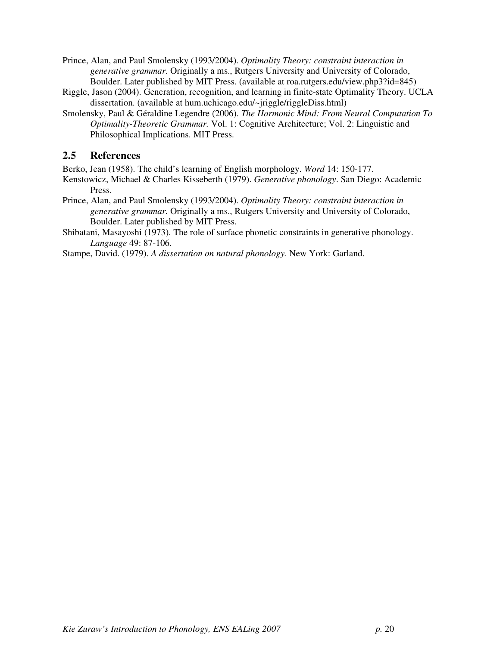- Prince, Alan, and Paul Smolensky (1993/2004). *Optimality Theory: constraint interaction in generative grammar.* Originally a ms., Rutgers University and University of Colorado, Boulder. Later published by MIT Press. (available at roa.rutgers.edu/view.php3?id=845)
- Riggle, Jason (2004). Generation, recognition, and learning in finite-state Optimality Theory. UCLA dissertation. (available at hum.uchicago.edu/~jriggle/riggleDiss.html)
- Smolensky, Paul & Géraldine Legendre (2006). *The Harmonic Mind: From Neural Computation To Optimality-Theoretic Grammar.* Vol. 1: Cognitive Architecture; Vol. 2: Linguistic and Philosophical Implications. MIT Press.

# **2.5 References**

Berko, Jean (1958). The child's learning of English morphology. *Word* 14: 150-177.

Kenstowicz, Michael & Charles Kisseberth (1979). *Generative phonology*. San Diego: Academic Press.

- Prince, Alan, and Paul Smolensky (1993/2004). *Optimality Theory: constraint interaction in generative grammar.* Originally a ms., Rutgers University and University of Colorado, Boulder. Later published by MIT Press.
- Shibatani, Masayoshi (1973). The role of surface phonetic constraints in generative phonology. *Language* 49: 87-106.

Stampe, David. (1979). *A dissertation on natural phonology.* New York: Garland.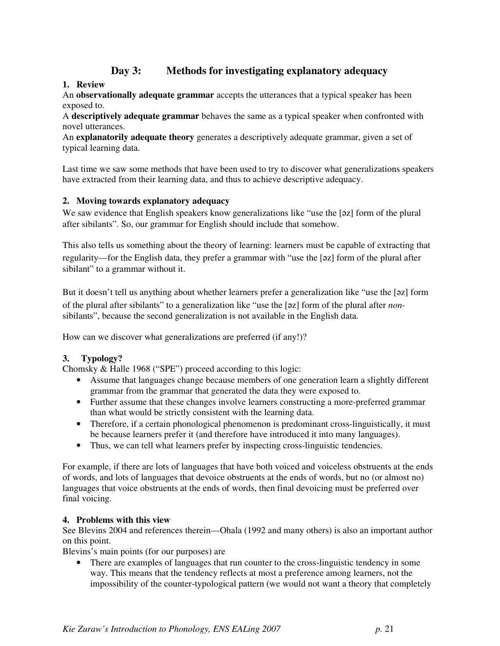# **Day 3: Methods for investigating explanatory adequacy**

# **1. Review**

An **observationally adequate grammar** accepts the utterances that a typical speaker has been exposed to.

A **descriptively adequate grammar** behaves the same as a typical speaker when confronted with novel utterances.

An **explanatorily adequate theory** generates a descriptively adequate grammar, given a set of typical learning data.

Last time we saw some methods that have been used to try to discover what generalizations speakers have extracted from their learning data, and thus to achieve descriptive adequacy.

# **2. Moving towards explanatory adequacy**

We saw evidence that English speakers know generalizations like "use the [27] form of the plural after sibilants". So, our grammar for English should include that somehow.

This also tells us something about the theory of learning: learners must be capable of extracting that regularity—for the English data, they prefer a grammar with "use the [z] form of the plural after sibilant" to a grammar without it.

But it doesn't tell us anything about whether learners prefer a generalization like "use the [az] form of the plural after sibilants" to a generalization like "use the [z] form of the plural after *non*sibilants", because the second generalization is not available in the English data.

How can we discover what generalizations are preferred (if any!)?

### **3. Typology?**

Chomsky & Halle 1968 ("SPE") proceed according to this logic:

- Assume that languages change because members of one generation learn a slightly different grammar from the grammar that generated the data they were exposed to.
- Further assume that these changes involve learners constructing a more-preferred grammar than what would be strictly consistent with the learning data.
- Therefore, if a certain phonological phenomenon is predominant cross-linguistically, it must be because learners prefer it (and therefore have introduced it into many languages).
- Thus, we can tell what learners prefer by inspecting cross-linguistic tendencies.

For example, if there are lots of languages that have both voiced and voiceless obstruents at the ends of words, and lots of languages that devoice obstruents at the ends of words, but no (or almost no) languages that voice obstruents at the ends of words, then final devoicing must be preferred over final voicing.

### **4. Problems with this view**

See Blevins 2004 and references therein—Ohala (1992 and many others) is also an important author on this point.

Blevins's main points (for our purposes) are

• There are examples of languages that run counter to the cross-linguistic tendency in some way. This means that the tendency reflects at most a preference among learners, not the impossibility of the counter-typological pattern (we would not want a theory that completely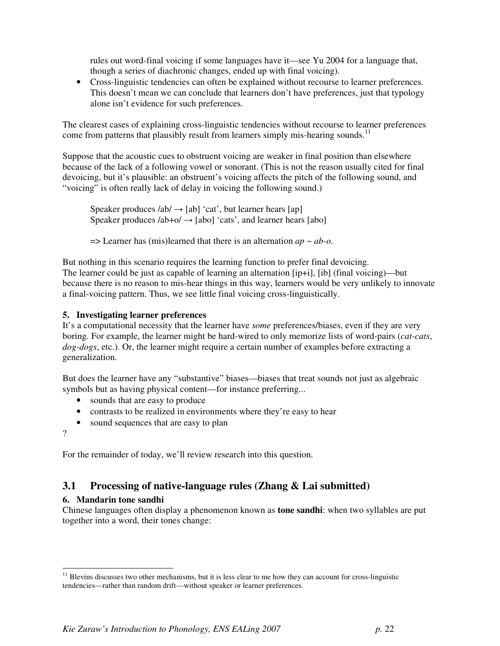rules out word-final voicing if some languages have it—see Yu 2004 for a language that, though a series of diachronic changes, ended up with final voicing).

• Cross-linguistic tendencies can often be explained without recourse to learner preferences. This doesn't mean we can conclude that learners don't have preferences, just that typology alone isn't evidence for such preferences.

The clearest cases of explaining cross-linguistic tendencies without recourse to learner preferences come from patterns that plausibly result from learners simply mis-hearing sounds.<sup>11</sup>

Suppose that the acoustic cues to obstruent voicing are weaker in final position than elsewhere because of the lack of a following vowel or sonorant. (This is not the reason usually cited for final devoicing, but it's plausible: an obstruent's voicing affects the pitch of the following sound, and "voicing" is often really lack of delay in voicing the following sound.)

Speaker produces  $/ab$   $\rightarrow$  [ab] 'cat', but learner hears [ap] Speaker produces  $/ab + o/ \rightarrow [abo]$  'cats', and learner hears [abo]

 $\Rightarrow$  Learner has (mis)learned that there is an alternation  $ap \sim ab$ -*o*.

But nothing in this scenario requires the learning function to prefer final devoicing. The learner could be just as capable of learning an alternation [ip+i], [ib] (final voicing)—but because there is no reason to mis-hear things in this way, learners would be very unlikely to innovate a final-voicing pattern. Thus, we see little final voicing cross-linguistically.

### **5. Investigating learner preferences**

It's a computational necessity that the learner have *some* preferences/biases, even if they are very boring. For example, the learner might be hard-wired to only memorize lists of word-pairs (*cat-cats*, *dog-dogs*, etc.). Or, the learner might require a certain number of examples before extracting a generalization.

But does the learner have any "substantive" biases—biases that treat sounds not just as algebraic symbols but as having physical content—for instance preferring...

- sounds that are easy to produce
- contrasts to be realized in environments where they're easy to hear
- sound sequences that are easy to plan

?

 $\overline{a}$ 

For the remainder of today, we'll review research into this question.

# **3.1 Processing of native-language rules (Zhang & Lai submitted)**

### **6. Mandarin tone sandhi**

Chinese languages often display a phenomenon known as **tone sandhi**: when two syllables are put together into a word, their tones change:

 $11$  Blevins discusses two other mechanisms, but it is less clear to me how they can account for cross-linguistic tendencies—rather than random drift—without speaker or learner preferences.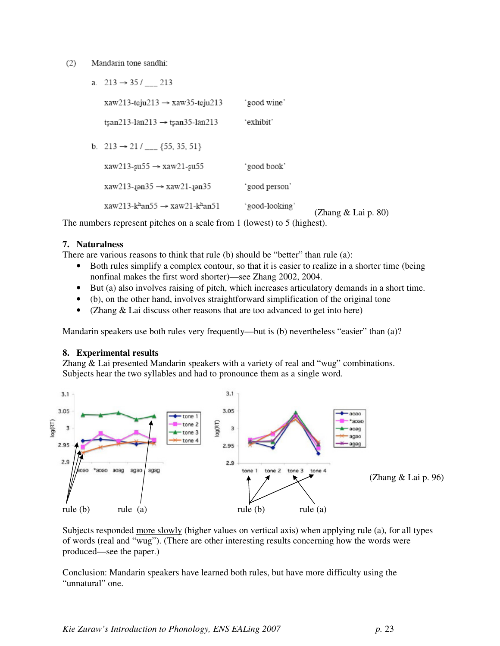#### $(2)$ Mandarin tone sandhi:

| a. $213 \rightarrow 35/$ 213                                         |               |                       |
|----------------------------------------------------------------------|---------------|-----------------------|
| $xaw213$ -teju $213 \rightarrow xaw35$ -teju $213$                   | 'good wine'   |                       |
| $tsan213-lan213 \rightarrow tsan35-lan213$                           | 'exhibit'     |                       |
| b. $213 \rightarrow 21 /$ ___ {55, 35, 51}                           |               |                       |
| $xaw213$ -su55 $\rightarrow$ $xaw21$ -su55                           | 'good book'   |                       |
| $xaw213$ -jən $35 \rightarrow xaw21$ -jən $35$                       | 'good person' |                       |
| $xaw213-k$ <sup>h</sup> an55 $\rightarrow$ xaw21-k <sup>h</sup> an51 | °good-looking | (Zhang $&$ Lai p. 80) |

The numbers represent pitches on a scale from 1 (lowest) to 5 (highest).

### **7. Naturalness**

There are various reasons to think that rule (b) should be "better" than rule (a):

- Both rules simplify a complex contour, so that it is easier to realize in a shorter time (being nonfinal makes the first word shorter)—see Zhang 2002, 2004.
- But (a) also involves raising of pitch, which increases articulatory demands in a short time.
- (b), on the other hand, involves straightforward simplification of the original tone
- (Zhang & Lai discuss other reasons that are too advanced to get into here)

Mandarin speakers use both rules very frequently—but is (b) nevertheless "easier" than (a)?

#### **8. Experimental results**

Zhang & Lai presented Mandarin speakers with a variety of real and "wug" combinations. Subjects hear the two syllables and had to pronounce them as a single word.



Subjects responded more slowly (higher values on vertical axis) when applying rule (a), for all types of words (real and "wug"). (There are other interesting results concerning how the words were produced—see the paper.)

Conclusion: Mandarin speakers have learned both rules, but have more difficulty using the "unnatural" one.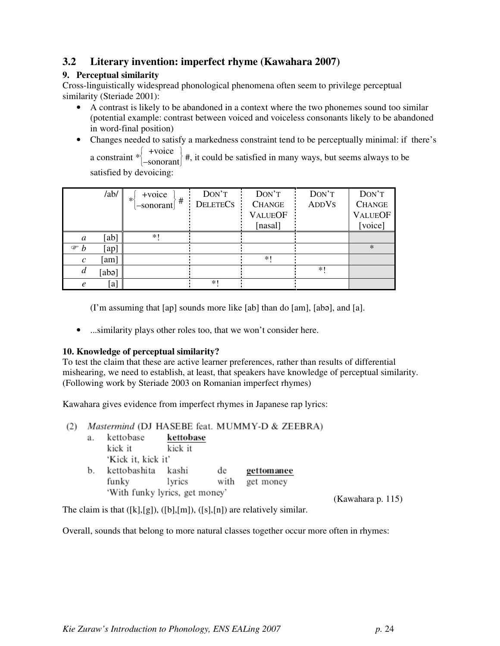# **3.2 Literary invention: imperfect rhyme (Kawahara 2007)**

# **9. Perceptual similarity**

Cross-linguistically widespread phonological phenomena often seem to privilege perceptual similarity (Steriade 2001):

- A contrast is likely to be abandoned in a context where the two phonemes sound too similar (potential example: contrast between voiced and voiceless consonants likely to be abandoned in word-final position)
- Changes needed to satisfy a markedness constraint tend to be perceptually minimal: if there's

a constraint  $*\Bigg\{$ J +voice  $\left\{\nmid \frac{1}{x}, \frac{1}{x} \text{ is a positive constant}\nmid \frac{1}{x}$ , it could be satisfied in many ways, but seems always to be satisfied by devoicing:

|                     | /ab/  | +voice               | DON'T           | DON'T          | DON'T        | DON'T          |
|---------------------|-------|----------------------|-----------------|----------------|--------------|----------------|
|                     |       | ∗⊀<br>#<br>-sonorant | <b>DELETECS</b> | <b>CHANGE</b>  | <b>ADDVS</b> | <b>CHANGE</b>  |
|                     |       |                      |                 | <b>VALUEOF</b> |              | <b>VALUEOF</b> |
|                     |       |                      |                 | [nasal]        |              | [voice]        |
| a                   | [ab]  | $*1$                 |                 |                |              |                |
| $\mathcal{F}$ $b$   | [ap]  |                      |                 |                |              | $*$            |
| $\mathcal{C}$       | [am]  |                      |                 | $*1$           |              |                |
| d                   | [abə] |                      |                 |                | $*1$         |                |
| $\boldsymbol{\rho}$ | [a]   |                      | *1              |                |              |                |

(I'm assuming that [ap] sounds more like [ab] than do [am], [ab], and [a].

• ...similarity plays other roles too, that we won't consider here.

### **10. Knowledge of perceptual similarity?**

To test the claim that these are active learner preferences, rather than results of differential mishearing, we need to establish, at least, that speakers have knowledge of perceptual similarity. (Following work by Steriade 2003 on Romanian imperfect rhymes)

Kawahara gives evidence from imperfect rhymes in Japanese rap lyrics:

(2) Mastermind (DJ HASEBE feat. MUMMY-D & ZEEBRA) kettobase kettobase  $a_{-}$ kick it kick it 'Kick it, kick it' b. kettobashita kashi gettomanee de funkv lyrics with get money 'With funky lyrics, get money'

(Kawahara p. 115)

The claim is that  $([k],[g])$ ,  $([b],[m])$ ,  $([s],[n])$  are relatively similar.

Overall, sounds that belong to more natural classes together occur more often in rhymes: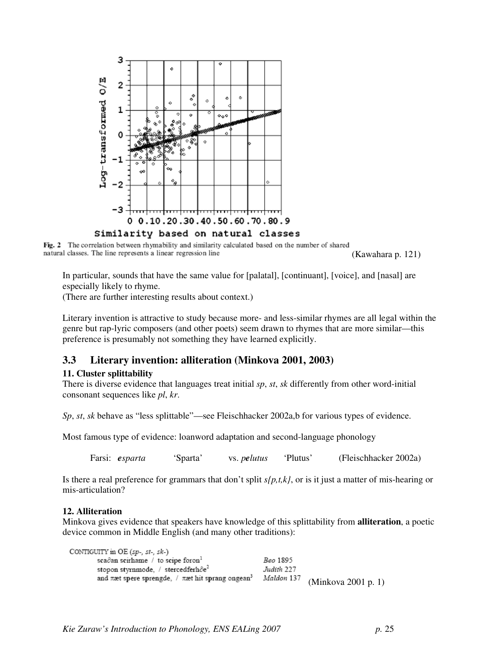

Fig. 2 The correlation between rhymability and similarity calculated based on the number of shared natural classes. The line represents a linear regression line

(Kawahara p. 121)

In particular, sounds that have the same value for [palatal], [continuant], [voice], and [nasal] are especially likely to rhyme.

(There are further interesting results about context.)

Literary invention is attractive to study because more- and less-similar rhymes are all legal within the genre but rap-lyric composers (and other poets) seem drawn to rhymes that are more similar—this preference is presumably not something they have learned explicitly.

# **3.3 Literary invention: alliteration (Minkova 2001, 2003)**

#### **11. Cluster splittability**

There is diverse evidence that languages treat initial *sp*, *st*, *sk* differently from other word-initial consonant sequences like *pl*, *kr*.

*Sp, st, sk* behave as "less splittable"—see Fleischhacker 2002a,b for various types of evidence.

Most famous type of evidence: loanword adaptation and second-language phonology

Farsi: *esparta* 'Sparta' vs. *pelutus* 'Plutus' (Fleischhacker 2002a)

Is there a real preference for grammars that don't split *s{p,t,k}*, or is it just a matter of mis-hearing or mis-articulation?

#### **12. Alliteration**

Minkova gives evidence that speakers have knowledge of this splittability from **alliteration**, a poetic device common in Middle English (and many other traditions):

CONTIGUITY in OE (sp-, st-, sk-) sca $\partial$ an scirhame / to scipe foron<sup>1</sup> Beo 1895 stopon styrnmode, / stercedferhôe<sup>2</sup> Judith 227 and  $\pi$ æt spere sprengde, /  $\pi$ æt hit sprang ongean<sup>3</sup> Maldon 137 (Minkova 2001 p. 1)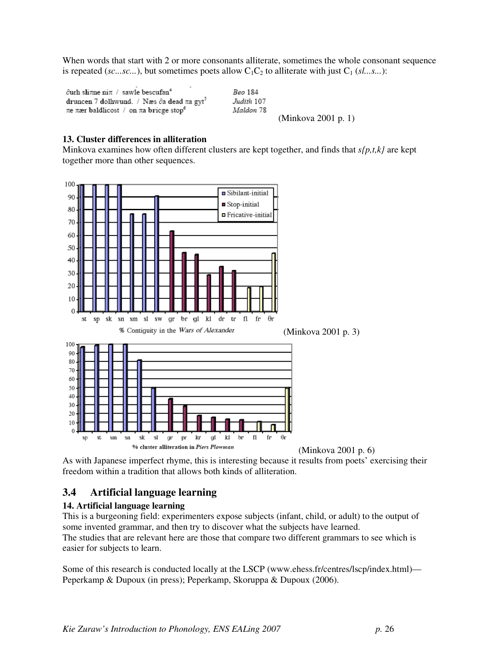When words that start with 2 or more consonants alliterate, sometimes the whole consonant sequence is repeated (*sc...sc...*), but sometimes poets allow  $C_1C_2$  to alliterate with just  $C_1$  (*sl...s...*):

 $\partial$ urh sli $\pi$ ne ni $\pi$  / sawle bescufan<sup>4</sup> druncen 7 dolhwund. / Næs δa dead πa gyt<sup>5</sup> πe πær baldlicost / on πa bricge stop<sup>6</sup>

Beo 184 Judith 107 Maldon 78 (Minkova 2001 p. 1)

#### **13. Cluster differences in alliteration**

Minkova examines how often different clusters are kept together, and finds that *s{p,t,k}* are kept together more than other sequences.



As with Japanese imperfect rhyme, this is interesting because it results from poets' exercising their freedom within a tradition that allows both kinds of alliteration.

# **3.4 Artificial language learning**

#### **14. Artificial language learning**

This is a burgeoning field: experimenters expose subjects (infant, child, or adult) to the output of some invented grammar, and then try to discover what the subjects have learned. The studies that are relevant here are those that compare two different grammars to see which is easier for subjects to learn.

Some of this research is conducted locally at the LSCP (www.ehess.fr/centres/lscp/index.html)— Peperkamp & Dupoux (in press); Peperkamp, Skoruppa & Dupoux (2006).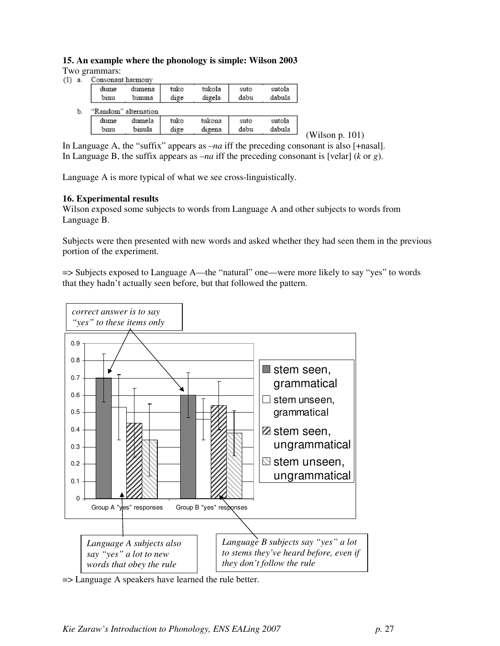# **15. An example where the phonology is simple: Wilson 2003**

Two grammars:

| $(1)$ a. | Consonant harmony |  |
|----------|-------------------|--|
|          |                   |  |
|          |                   |  |

|    | dume<br>binu | dumena<br>binuna     | tuko<br>dige | tukola<br>digela | suto<br>dabu | sutola<br>dabula |
|----|--------------|----------------------|--------------|------------------|--------------|------------------|
| b. |              | "Random" alternation |              |                  |              |                  |
|    | dume         | dumela               | tuko         | tukona           | suto         | sutola           |
|    | binu         | binula               | dige         | digena           | dabu         | dabula           |

(Wilson p. 101)

In Language A, the "suffix" appears as *–na* iff the preceding consonant is also [+nasal]. In Language B, the suffix appears as *–na* iff the preceding consonant is [velar] (*k* or *g*).

Language A is more typical of what we see cross-linguistically.

### **16. Experimental results**

Wilson exposed some subjects to words from Language A and other subjects to words from Language B.

Subjects were then presented with new words and asked whether they had seen them in the previous portion of the experiment.

=> Subjects exposed to Language A—the "natural" one—were more likely to say "yes" to words that they hadn't actually seen before, but that followed the pattern.



=> Language A speakers have learned the rule better.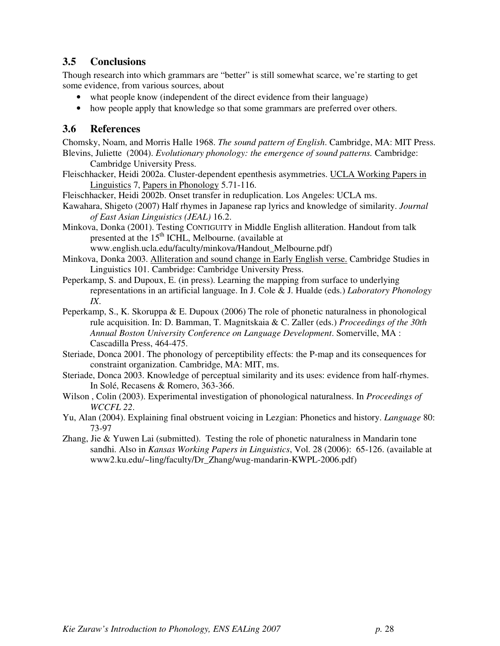# **3.5 Conclusions**

Though research into which grammars are "better" is still somewhat scarce, we're starting to get some evidence, from various sources, about

- what people know (independent of the direct evidence from their language)
- how people apply that knowledge so that some grammars are preferred over others.

# **3.6 References**

Chomsky, Noam, and Morris Halle 1968. *The sound pattern of English*. Cambridge, MA: MIT Press. Blevins, Juliette (2004). *Evolutionary phonology: the emergence of sound patterns.* Cambridge: Cambridge University Press.

Fleischhacker, Heidi 2002a. Cluster-dependent epenthesis asymmetries. UCLA Working Papers in Linguistics 7, Papers in Phonology 5.71-116.

Fleischhacker, Heidi 2002b. Onset transfer in reduplication. Los Angeles: UCLA ms.

- Kawahara, Shigeto (2007) Half rhymes in Japanese rap lyrics and knowledge of similarity. *Journal of East Asian Linguistics (JEAL)* 16.2.
- Minkova, Donka (2001). Testing CONTIGUITY in Middle English alliteration. Handout from talk presented at the 15<sup>th</sup> ICHL, Melbourne. (available at www.english.ucla.edu/faculty/minkova/Handout\_Melbourne.pdf)
- Minkova, Donka 2003. Alliteration and sound change in Early English verse. Cambridge Studies in Linguistics 101. Cambridge: Cambridge University Press.
- Peperkamp, S. and Dupoux, E. (in press). Learning the mapping from surface to underlying representations in an artificial language. In J. Cole & J. Hualde (eds.) *Laboratory Phonology IX*.
- Peperkamp, S., K. Skoruppa & E. Dupoux (2006) The role of phonetic naturalness in phonological rule acquisition. In: D. Bamman, T. Magnitskaia & C. Zaller (eds.) *Proceedings of the 30th Annual Boston University Conference on Language Development*. Somerville, MA : Cascadilla Press, 464-475.
- Steriade, Donca 2001. The phonology of perceptibility effects: the P-map and its consequences for constraint organization. Cambridge, MA: MIT, ms.
- Steriade, Donca 2003. Knowledge of perceptual similarity and its uses: evidence from half-rhymes. In Solé, Recasens & Romero, 363-366.
- Wilson , Colin (2003). Experimental investigation of phonological naturalness. In *Proceedings of WCCFL 22*.
- Yu, Alan (2004). Explaining final obstruent voicing in Lezgian: Phonetics and history. *Language* 80: 73-97
- Zhang, Jie & Yuwen Lai (submitted). Testing the role of phonetic naturalness in Mandarin tone sandhi. Also in *Kansas Working Papers in Linguistics*, Vol. 28 (2006): 65-126. (available at www2.ku.edu/~ling/faculty/Dr\_Zhang/wug-mandarin-KWPL-2006.pdf)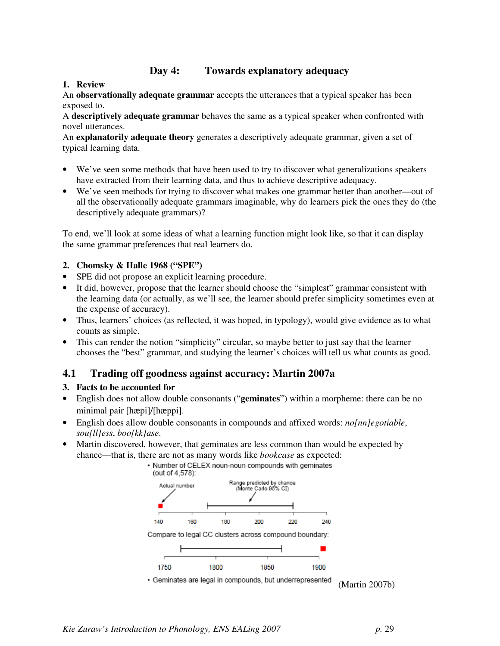# **Day 4: Towards explanatory adequacy**

# **1. Review**

An **observationally adequate grammar** accepts the utterances that a typical speaker has been exposed to.

A **descriptively adequate grammar** behaves the same as a typical speaker when confronted with novel utterances.

An **explanatorily adequate theory** generates a descriptively adequate grammar, given a set of typical learning data.

- We've seen some methods that have been used to try to discover what generalizations speakers have extracted from their learning data, and thus to achieve descriptive adequacy.
- We've seen methods for trying to discover what makes one grammar better than another—out of all the observationally adequate grammars imaginable, why do learners pick the ones they do (the descriptively adequate grammars)?

To end, we'll look at some ideas of what a learning function might look like, so that it can display the same grammar preferences that real learners do.

# **2. Chomsky & Halle 1968 ("SPE")**

- SPE did not propose an explicit learning procedure.
- It did, however, propose that the learner should choose the "simplest" grammar consistent with the learning data (or actually, as we'll see, the learner should prefer simplicity sometimes even at the expense of accuracy).
- Thus, learners' choices (as reflected, it was hoped, in typology), would give evidence as to what counts as simple.
- This can render the notion "simplicity" circular, so maybe better to just say that the learner chooses the "best" grammar, and studying the learner's choices will tell us what counts as good.

# **4.1 Trading off goodness against accuracy: Martin 2007a**

### **3. Facts to be accounted for**

- English does not allow double consonants ("**geminates**") within a morpheme: there can be no minimal pair [hæpi]/[hæppi].
- English does allow double consonants in compounds and affixed words: *no[nn]egotiable*, *sou[ll]ess*, *boo[kk]ase*.
- Martin discovered, however, that geminates are less common than would be expected by chance—that is, there are not as many words like *bookcase* as expected:



(Martin 2007b)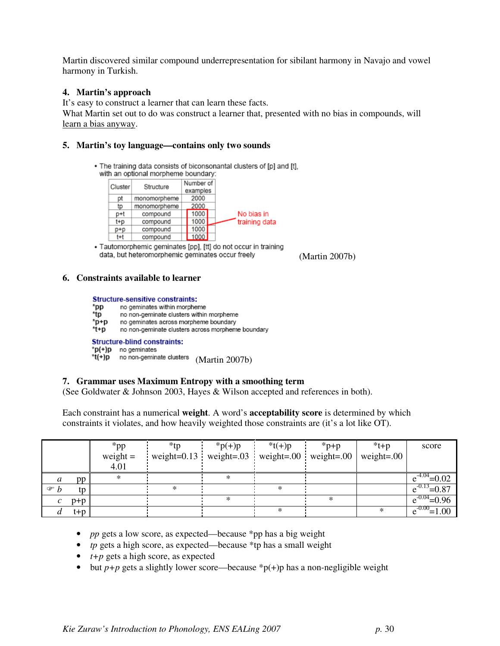Martin discovered similar compound underrepresentation for sibilant harmony in Navajo and vowel harmony in Turkish.

### **4. Martin's approach**

It's easy to construct a learner that can learn these facts. What Martin set out to do was construct a learner that, presented with no bias in compounds, will learn a bias anyway.

### **5. Martin's toy language—contains only two sounds**

. The training data consists of biconsonantal clusters of [p] and [t]. with an optional morpheme boundary:

| Cluster | Structure    | Number of<br>examples |               |
|---------|--------------|-----------------------|---------------|
| рt      | monomorpheme | 2000                  |               |
| tp      | monomorpheme | 2000                  |               |
| p+t     | compound     | 1000                  | No bias in    |
| t+p     | compound     | 1000                  | training data |
| p+p     | compound     | 1000                  |               |
| t+t     | compound     | 1000                  |               |

· Tautomorphemic geminates [pp], [tt] do not occur in training data, but heteromorphemic geminates occur freely

(Martin 2007b)

#### **6. Constraints available to learner**

#### **Structure-sensitive constraints:**

- \*pp no geminates within morpheme
- \*tp no non-geminate clusters within morpheme
- \*p+p no geminates across morpheme boundary
- \*t+p no non-geminate clusters across morpheme boundary

#### **Structure-blind constraints:**

\*p(+)p no geminates

 $\text{H}(+){\text{p}}$  no non-geminate clusters (Martin 2007b)

#### **7. Grammar uses Maximum Entropy with a smoothing term**

(See Goldwater & Johnson 2003, Hayes & Wilson accepted and references in both).

Each constraint has a numerical **weight**. A word's **acceptability score** is determined by which constraints it violates, and how heavily weighted those constraints are (it's a lot like OT).

|                  |         | $*$ pp     | *tp                                                         | $*{\rm p}(+)p$ | $*$ t(+)p | $*_{p+p}$ | $*t+p$        | score              |
|------------------|---------|------------|-------------------------------------------------------------|----------------|-----------|-----------|---------------|--------------------|
|                  |         | weight $=$ | weight= $0.13$ weight= $0.03$ weight= $0.00$ weight= $0.00$ |                |           |           | weight= $.00$ |                    |
|                  |         | 4.01       |                                                             |                |           |           |               |                    |
| $\boldsymbol{a}$ | pp      | *          |                                                             | ж              |           |           |               | $=0.02$            |
| $\mathcal{F}$ b  | tp      |            | $\ast$                                                      |                | $\ast$    |           |               | $e^{-0.13} = 0.87$ |
| $\mathcal{C}$    | $p+p$   |            |                                                             | ж              |           | ∗         |               | $=0.96$            |
|                  | $t + p$ |            |                                                             |                | ж         |           |               | $-0.00$<br>00.     |

- *pp* gets a low score, as expected—because \*pp has a big weight
- *tp* gets a high score, as expected—because \*tp has a small weight
- *t+p* gets a high score, as expected
- but  $p+p$  gets a slightly lower score—because  $\binom{p}{p}$  has a non-negligible weight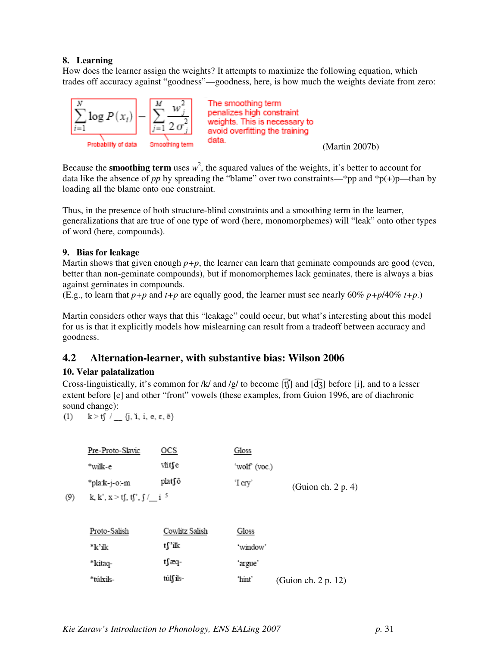### **8. Learning**

How does the learner assign the weights? It attempts to maximize the following equation, which trades off accuracy against "goodness"—goodness, here, is how much the weights deviate from zero:



Because the **smoothing term** uses  $w^2$ , the squared values of the weights, it's better to account for data like the absence of *pp* by spreading the "blame" over two constraints—\*pp and \*p(+)p—than by loading all the blame onto one constraint.

Thus, in the presence of both structure-blind constraints and a smoothing term in the learner, generalizations that are true of one type of word (here, monomorphemes) will "leak" onto other types of word (here, compounds).

### **9. Bias for leakage**

Martin shows that given enough  $p+p$ , the learner can learn that geminate compounds are good (even, better than non-geminate compounds), but if monomorphemes lack geminates, there is always a bias against geminates in compounds.

(E.g., to learn that  $p+p$  and  $t+p$  are equally good, the learner must see nearly 60%  $p+p/40\%$   $t+p$ .)

Martin considers other ways that this "leakage" could occur, but what's interesting about this model for us is that it explicitly models how mislearning can result from a tradeoff between accuracy and goodness.

# **4.2 Alternation-learner, with substantive bias: Wilson 2006**

### **10. Velar palatalization**

Cross-linguistically, it's common for /k/ and /g/ to become  $[\hat{t}]$  and  $[\hat{d}_{3}]$  before [i], and to a lesser extent before [e] and other "front" vowels (these examples, from Guion 1996, are of diachronic sound change):

 $k > t$ f /  $_{1}$  {j, 1, i, e,  $\varepsilon$ ,  $\bar{e}$ }  $(1)$ 

| Pre-Proto-Slavic           | ocs    | Gloss         |                       |
|----------------------------|--------|---------------|-----------------------|
| *wilk-e                    | vĭit∫e | 'wolf' (voc.) |                       |
| *pla:k-j-o:-m              | plat∫õ | 'I cry'       | (Guion ch. $2 p. 4$ ) |
| 1. 1.2  10 102 0 1 - 1 5 . |        |               |                       |

 $(9)$ k, k', x > tʃ, tʃ', ʃ /\_i

| Proto-Salish | Cowlitz Salish | Gloss    |                     |
|--------------|----------------|----------|---------------------|
| *k'ilk       | tf'ik          | 'window' |                     |
| *kitaq-      | t∫æq-          | ʻargue'  |                     |
| *túlxils-    | túlf ils-      | 'hint'   | (Guion ch. 2 p. 12) |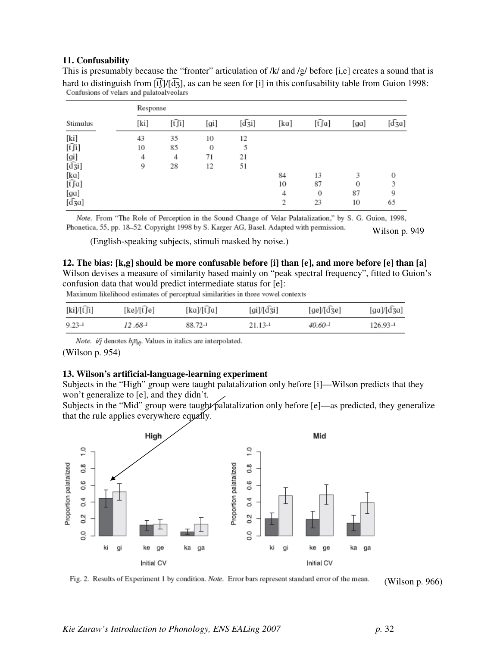#### **11. Confusability**

This is presumably because the "fronter" articulation of  $/k/$  and  $/g/$  before [i,e] creates a sound that is hard to distinguish from  $[f]/[d_3]$ , as can be seen for [i] in this confusability table from Guion 1998:<br>Confusions of velars and palatoalveolars

|                        | Response |        |      |                    |                |        |          |               |  |
|------------------------|----------|--------|------|--------------------|----------------|--------|----------|---------------|--|
| Stimulus               | [ki]     | [t͡ʃi] | [gi] | $[d\overline{3}i]$ | [ka]           | [t͡ʃa] | [ga]     | $[d\hat{3}a]$ |  |
| [ki]                   | 43       | 35     | 10   | 12                 |                |        |          |               |  |
| $[\hat{t}]\hat{i}$     | 10       | 85     | 0    | 5                  |                |        |          |               |  |
|                        | 4        | 4      | 71   | 21                 |                |        |          |               |  |
| [gi]<br>[d͡ʒi]         | 9        | 28     | 12   | 51                 |                |        |          |               |  |
|                        |          |        |      |                    | 84             | 13     | 3        | о             |  |
| [ka]<br>[t͡ʃa]         |          |        |      |                    | 10             | 87     | $\theta$ |               |  |
| [ga]                   |          |        |      |                    | 4              | 0      | 87       | 9             |  |
| $[$ d $\overline{3}a]$ |          |        |      |                    | $\overline{2}$ | 23     | 10       | 65            |  |

Note. From "The Role of Perception in the Sound Change of Velar Palatalization," by S. G. Guion, 1998, Phonetica, 55, pp. 18-52. Copyright 1998 by S. Karger AG, Basel. Adapted with permission. Wilson p. 949

(English-speaking subjects, stimuli masked by noise.)

**12. The bias: [k,g] should be more confusable before [i] than [e], and more before [e] than [a]**  Wilson devises a measure of similarity based mainly on "peak spectral frequency", fitted to Guion's confusion data that would predict intermediate status for [e]:

Maximum likelihood estimates of perceptual similarities in three vowel contexts

| $[ki]/[\widehat{t}j]$ | [ke]/[t͡ʃe] | [ka]/[t͡ʃa] | $\left[\frac{\text{gi}}{\text{g}i}\right]$ | $[ge]/[\widehat{d}$ ze] | [ga]/[d͡ʒa]  |
|-----------------------|-------------|-------------|--------------------------------------------|-------------------------|--------------|
| $9.23 - 1$            | 12.68-1     | 88.72-1     | $21.13 - 1$                                | $40.60 - 1$             | $126.93 - 1$ |

*Note.* i/j denotes  $b_j \eta_{ij}$ . Values in italics are interpolated. (Wilson p. 954)

#### **13. Wilson's artificial-language-learning experiment**

Subjects in the "High" group were taught palatalization only before [i]—Wilson predicts that they won't generalize to [e], and they didn't.

Subjects in the "Mid" group were taught palatalization only before [e]—as predicted, they generalize that the rule applies everywhere equally.



Fig. 2. Results of Experiment 1 by condition. Note. Error bars represent standard error of the mean.

(Wilson p. 966)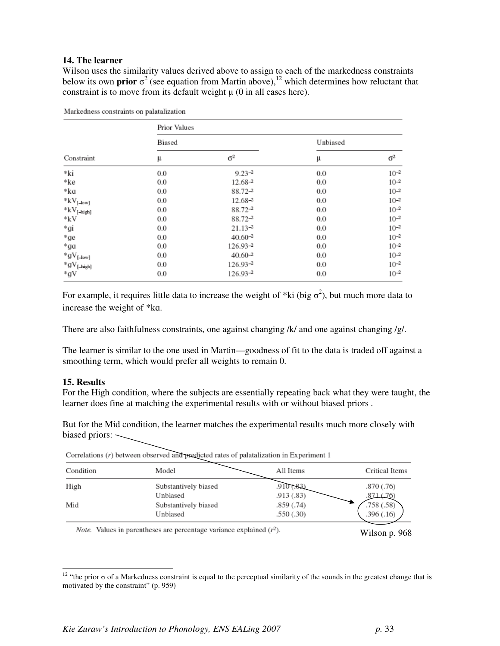#### **14. The learner**

Wilson uses the similarity values derived above to assign to each of the markedness constraints below its own **prior**  $\sigma^2$  (see equation from Martin above),<sup>12</sup> which determines how reluctant that constraint is to move from its default weight  $\mu$  (0 in all cases here).

|                               | Prior Values |              |          |            |  |  |  |
|-------------------------------|--------------|--------------|----------|------------|--|--|--|
|                               | Biased       |              | Unbiased |            |  |  |  |
| Constraint                    | μ            | $\sigma^2$   | μ        | $\sigma^2$ |  |  |  |
| *ki                           | 0.0          | $9.23 - 2$   | 0.0      | $10^{-2}$  |  |  |  |
| *ke                           | 0.0          | 12.68-2      | 0.0      | $10 - 2$   |  |  |  |
| *ka                           | 0.0          | 88.72-2      | 0.0      | $10 - 2$   |  |  |  |
| $kV_{[-low]}$                 | 0.0          | 12.68-2      | 0.0      | $10 - 2$   |  |  |  |
| $\mathrm{^{*}kV_{[ - high]}}$ | 0.0          | 88.72-2      | 0.0      | $10^{-2}$  |  |  |  |
| *kV                           | 0.0          | $88.72 - 2$  | 0.0      | $10^{-2}$  |  |  |  |
| *gi                           | 0.0          | $21.13 - 2$  | 0.0      | $10^{-2}$  |  |  |  |
| *ge                           | 0.0          | $40.60^{-2}$ | 0.0      | $10^{-2}$  |  |  |  |
| *ga                           | 0.0          | 126.93-2     | 0.0      | $10^{-2}$  |  |  |  |
| $*gV_{[-low]}$                | 0.0          | $40.60 - 2$  | 0.0      | $10 - 2$   |  |  |  |
| $*gV_{[-high]}$               | 0.0          | $126.93 - 2$ | 0.0      | $10^{-2}$  |  |  |  |
| *gV                           | 0.0          | $126.93 - 2$ | 0.0      | $10^{-2}$  |  |  |  |

Markedness constraints on palatalization

For example, it requires little data to increase the weight of  $*ki$  (big  $\sigma^2$ ), but much more data to increase the weight of \*ka.

There are also faithfulness constraints, one against changing /k/ and one against changing /g/.

The learner is similar to the one used in Martin—goodness of fit to the data is traded off against a smoothing term, which would prefer all weights to remain 0.

#### **15. Results**

 $\overline{a}$ 

For the High condition, where the subjects are essentially repeating back what they were taught, the learner does fine at matching the experimental results with or without biased priors .

But for the Mid condition, the learner matches the experimental results much more closely with biased priors:  $\searrow$ 

| Condition | Model                | All Items  | Critical Items |
|-----------|----------------------|------------|----------------|
| High      | Substantively biased | 910 (.83)  | .870(.76)      |
|           | Unbiased             | .913 (.83) | 871 (76)       |
| Mid       | Substantively biased | .859 (.74) | .758(.58)      |
|           | Unbiased             | .550(.30)  | .396(.16)      |

Correlations  $(r)$  between observed and predicted rates of palatalization in Experiment 1

*Note.* Values in parentheses are percentage variance explained  $(r^2)$ .

Wilson p. 968

<sup>&</sup>lt;sup>12</sup> "the prior  $\sigma$  of a Markedness constraint is equal to the perceptual similarity of the sounds in the greatest change that is motivated by the constraint" (p. 959)